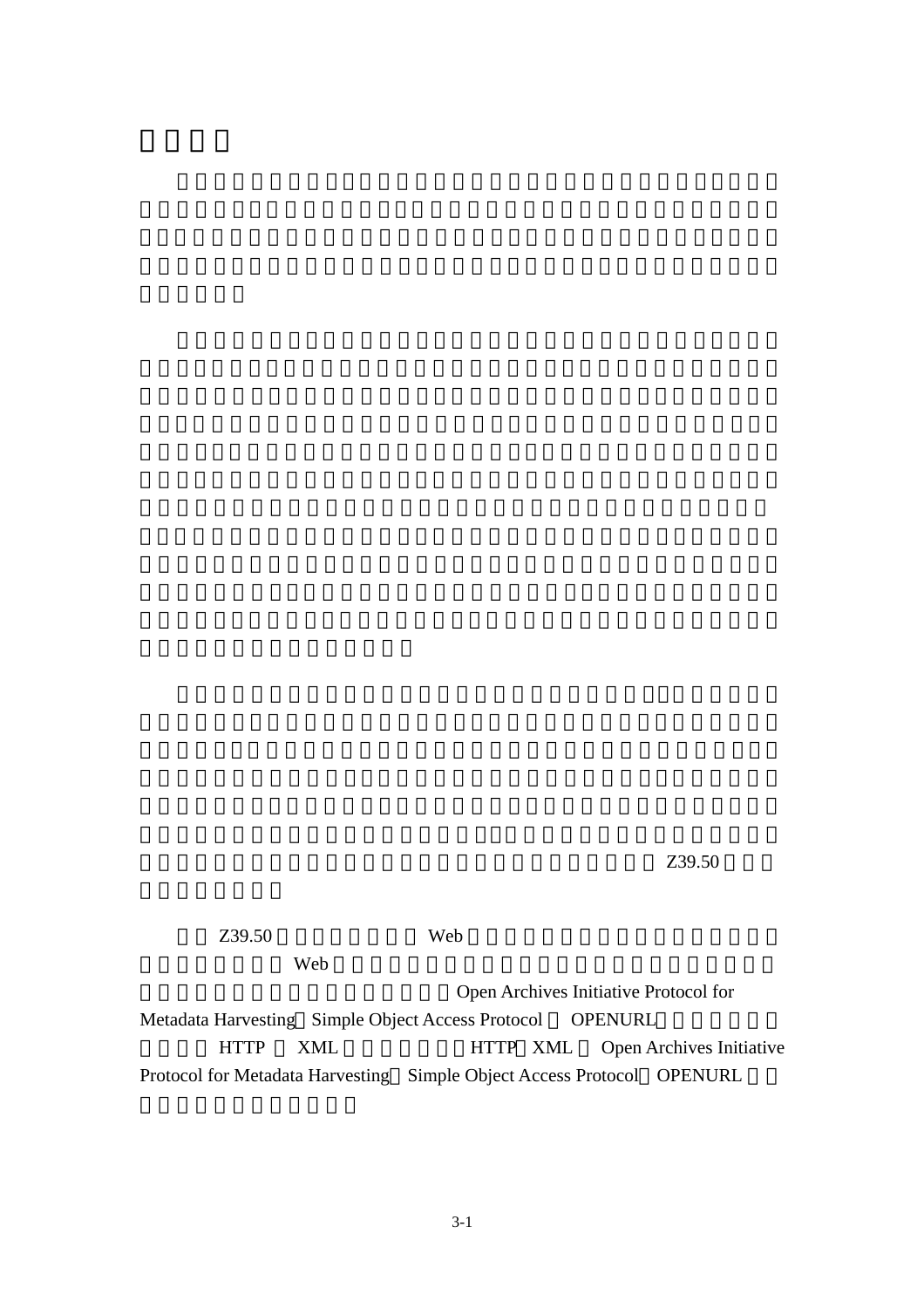$Z39.50$ 

 $Z39.50$  Web

web  $\mathbf{w}$ 

Open Archives Initiative Protocol for Metadata Harvesting Simple Object Access Protocol OPENURL HTTP XML HTTP XML Open Archives Initiative Protocol for Metadata Harvesting Simple Object Access Protocol OPENURL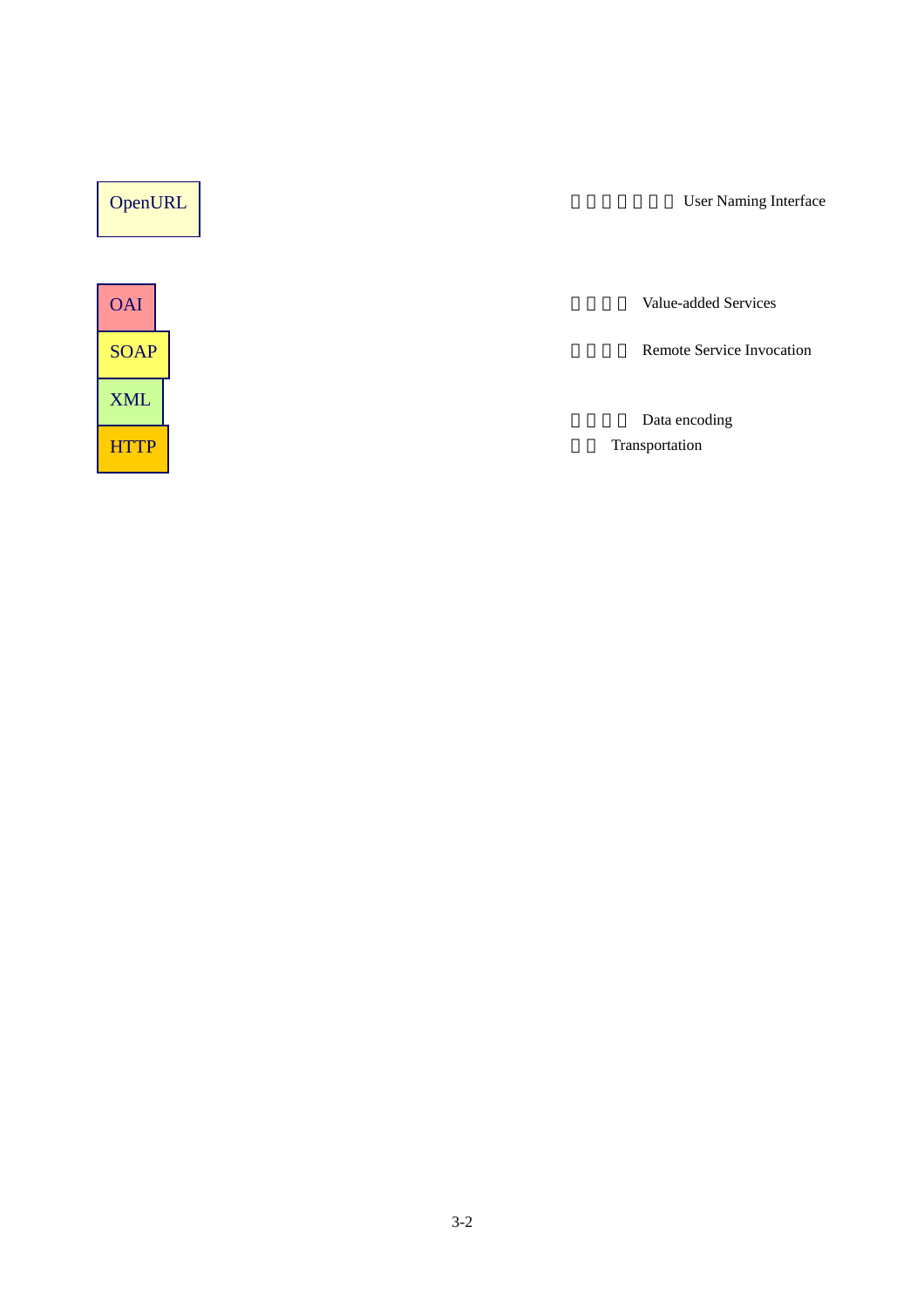| OpenURL     | <b>User Naming Interface</b>    |
|-------------|---------------------------------|
|             |                                 |
| <b>OAI</b>  | Value-added Services            |
| <b>SOAP</b> | Remote Service Invocation       |
| <b>XML</b>  |                                 |
| H<br>TTP    | Data encoding<br>Transportation |
|             |                                 |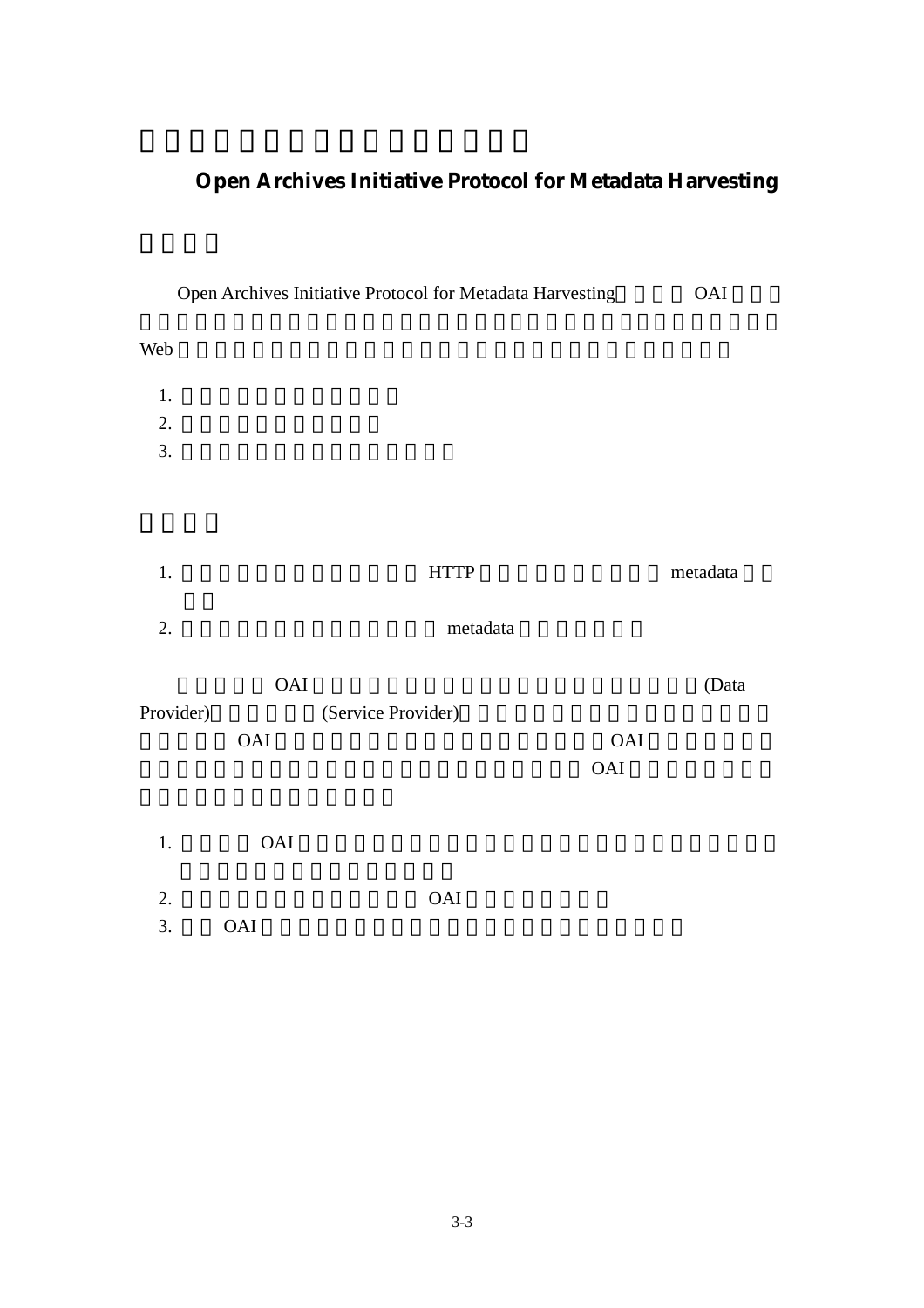# **Open Archives Initiative Protocol for Metadata Harvesting**

|                  |                                  | Open Archives Initiative Protocol for Metadata Harvesting |            | OAI      |
|------------------|----------------------------------|-----------------------------------------------------------|------------|----------|
| Web              |                                  |                                                           |            |          |
| 1.               |                                  |                                                           |            |          |
| 2.               |                                  |                                                           |            |          |
| $\overline{3}$ . |                                  |                                                           |            |          |
|                  |                                  |                                                           |            |          |
| $1. \,$          |                                  | <b>HTTP</b>                                               |            | metadata |
| 2.               |                                  | metadata                                                  |            |          |
|                  | OAI                              |                                                           |            | (Data    |
| Provider)        |                                  | (Service Provider)                                        |            |          |
|                  | OAI                              |                                                           | <b>OAI</b> |          |
|                  |                                  |                                                           | OAI        |          |
| $1.$             | OAI                              |                                                           |            |          |
| 2.               |                                  | OAI                                                       |            |          |
| 3.               | $\mathbf{O}\mathbf{A}\mathbf{I}$ |                                                           |            |          |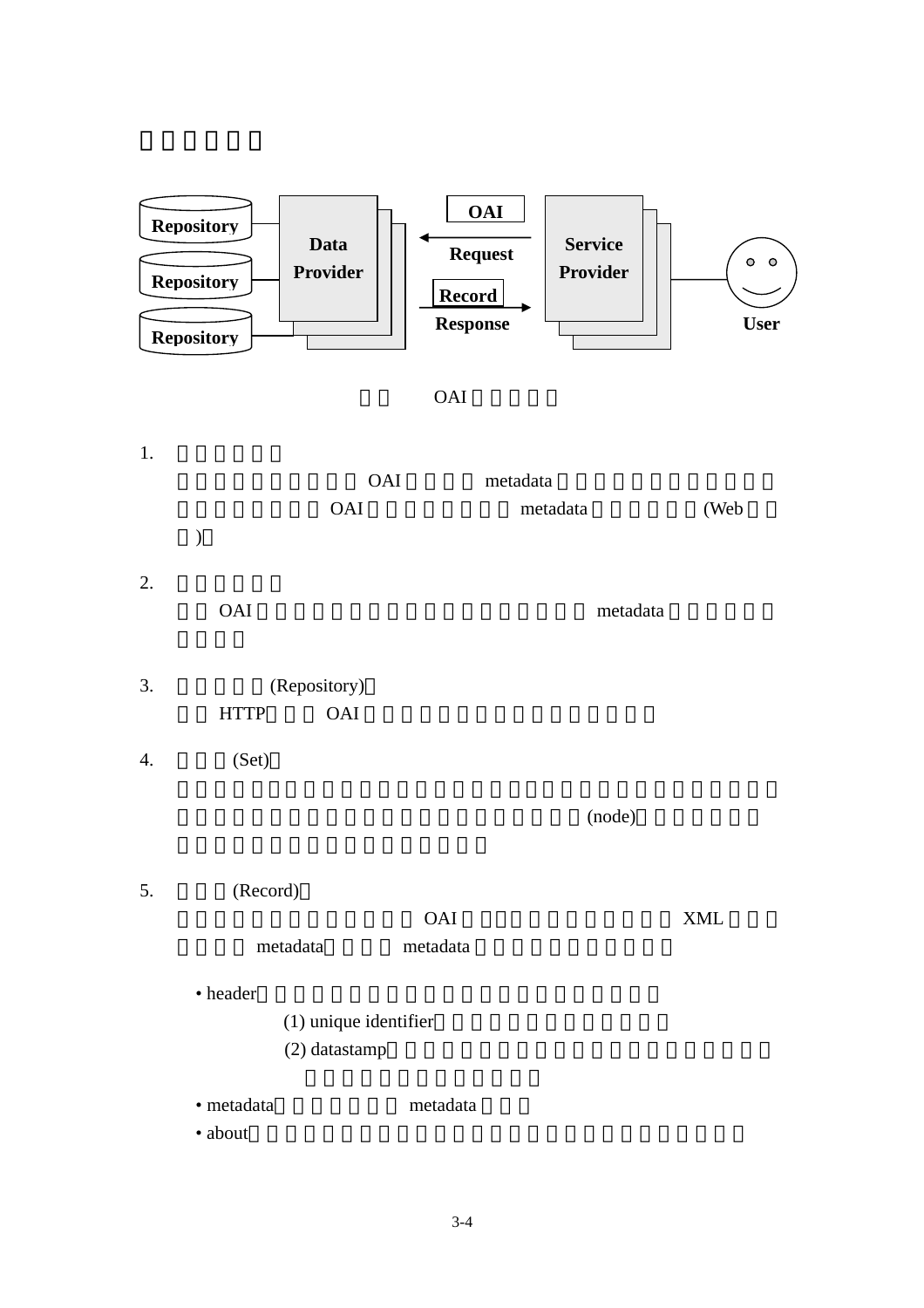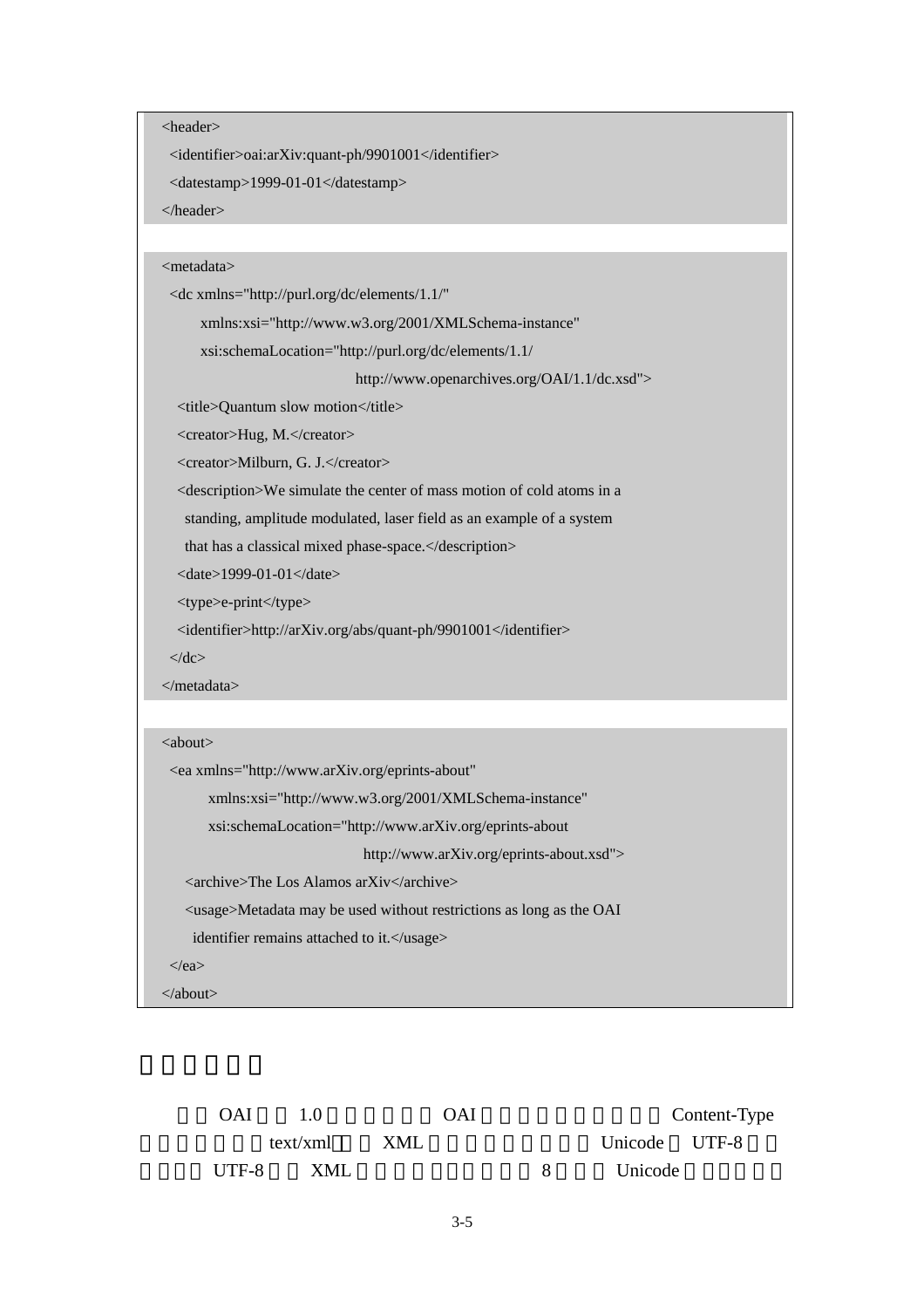<header>

<identifier>oai:arXiv:quant-ph/9901001</identifier>

<datestamp>1999-01-01</datestamp>

</header>

## <metadata>

| <dc <="" th="" xmlns="http://purl.org/dc/elements/1.1/"></dc>                       |
|-------------------------------------------------------------------------------------|
| xmlns:xsi="http://www.w3.org/2001/XMLSchema-instance"                               |
| xsi:schemaLocation="http://purl.org/dc/elements/1.1/                                |
| http://www.openarchives.org/OAI/1.1/dc.xsd">                                        |
| <title>Quantum slow motion</title>                                                  |
| <creator>Hug, M.</creator>                                                          |
| <creator>Milburn, G. J.</creator>                                                   |
| <description>We simulate the center of mass motion of cold atoms in a</description> |
| standing, amplitude modulated, laser field as an example of a system                |
| that has a classical mixed phase-space.                                             |
| <date>1999-01-01</date>                                                             |
| <type>e-print</type>                                                                |
| <identifier>http://arXiv.org/abs/quant-ph/9901001</identifier>                      |
|                                                                                     |
| $\langle$ dc>                                                                       |
| $\langle$ /metadata>                                                                |
|                                                                                     |
| $\langle about \rangle$                                                             |
| <ea <="" th="" xmlns="http://www.arXiv.org/eprints-about"></ea>                     |
| xmlns:xsi="http://www.w3.org/2001/XMLSchema-instance"                               |
| xsi:schemaLocation="http://www.arXiv.org/eprints-about                              |
| http://www.arXiv.org/eprints-about.xsd">                                            |
| <archive>The Los Alamos arXiv</archive>                                             |
| <usage>Metadata may be used without restrictions as long as the OAI</usage>         |
| identifier remains attached to it.                                                  |
| $\langle$ /ea $\rangle$                                                             |

OAI  $1.0$  OAI Content-Type text/xml  $XML$  Unicode UTF-8 UTF-8 XML 8 Unicode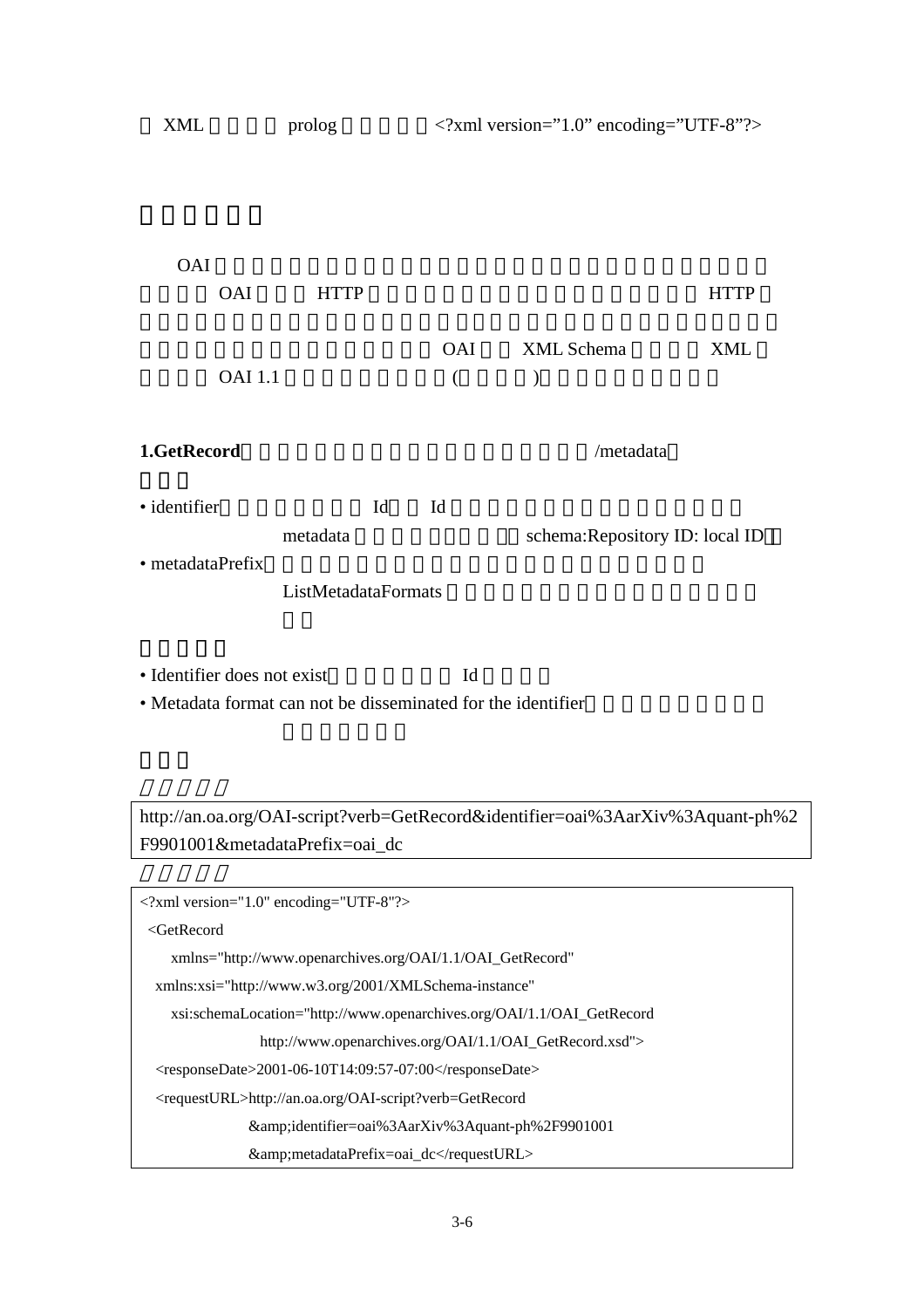| XML                                                                                                     | prolog              |    |          | xml version="1.0" encoding="UTF-8"? |             |
|---------------------------------------------------------------------------------------------------------|---------------------|----|----------|-------------------------------------|-------------|
|                                                                                                         |                     |    |          |                                     |             |
|                                                                                                         |                     |    |          |                                     |             |
|                                                                                                         |                     |    |          |                                     |             |
| <b>OAI</b>                                                                                              |                     |    |          |                                     |             |
| <b>OAI</b>                                                                                              | <b>HTTP</b>         |    |          |                                     | <b>HTTP</b> |
|                                                                                                         |                     |    |          |                                     |             |
|                                                                                                         |                     |    | OAI      | XML Schema                          | <b>XML</b>  |
| <b>OAI</b> 1.1                                                                                          |                     |    | $\left($ | $\mathcal{E}$                       |             |
|                                                                                                         |                     |    |          |                                     |             |
| 1.GetRecord                                                                                             |                     |    |          | /metadata                           |             |
|                                                                                                         |                     |    |          |                                     |             |
| · identifier                                                                                            |                     | Id | Id       |                                     |             |
|                                                                                                         | metadata            |    |          | schema: Repository ID: local ID     |             |
| · metadataPrefix                                                                                        |                     |    |          |                                     |             |
|                                                                                                         | ListMetadataFormats |    |          |                                     |             |
|                                                                                                         |                     |    |          |                                     |             |
|                                                                                                         |                     |    |          |                                     |             |
| · Identifier does not exist<br>. More data frame of a connect deal disconsistent of fraction identifies |                     |    | Id       |                                     |             |

• Metadata format can not be disseminated for the identifier

http://an.oa.org/OAI-script?verb=GetRecord&identifier=oai%3AarXiv%3Aquant-ph%2 F9901001&metadataPrefix=oai\_dc

```
<?xml version="1.0" encoding="UTF-8"?> 
  <GetRecord 
     xmlns="http://www.openarchives.org/OAI/1.1/OAI_GetRecord" 
   xmlns:xsi="http://www.w3.org/2001/XMLSchema-instance" 
     xsi:schemaLocation="http://www.openarchives.org/OAI/1.1/OAI_GetRecord 
                  http://www.openarchives.org/OAI/1.1/OAI_GetRecord.xsd"> 
  <responseDate>2001-06-10T14:09:57-07:00</responseDate>
   <requestURL>http://an.oa.org/OAI-script?verb=GetRecord 
                &identifier=oai%3AarXiv%3Aquant-ph%2F9901001 
                &amp;metadataPrefix=oai_dc</requestURL>
```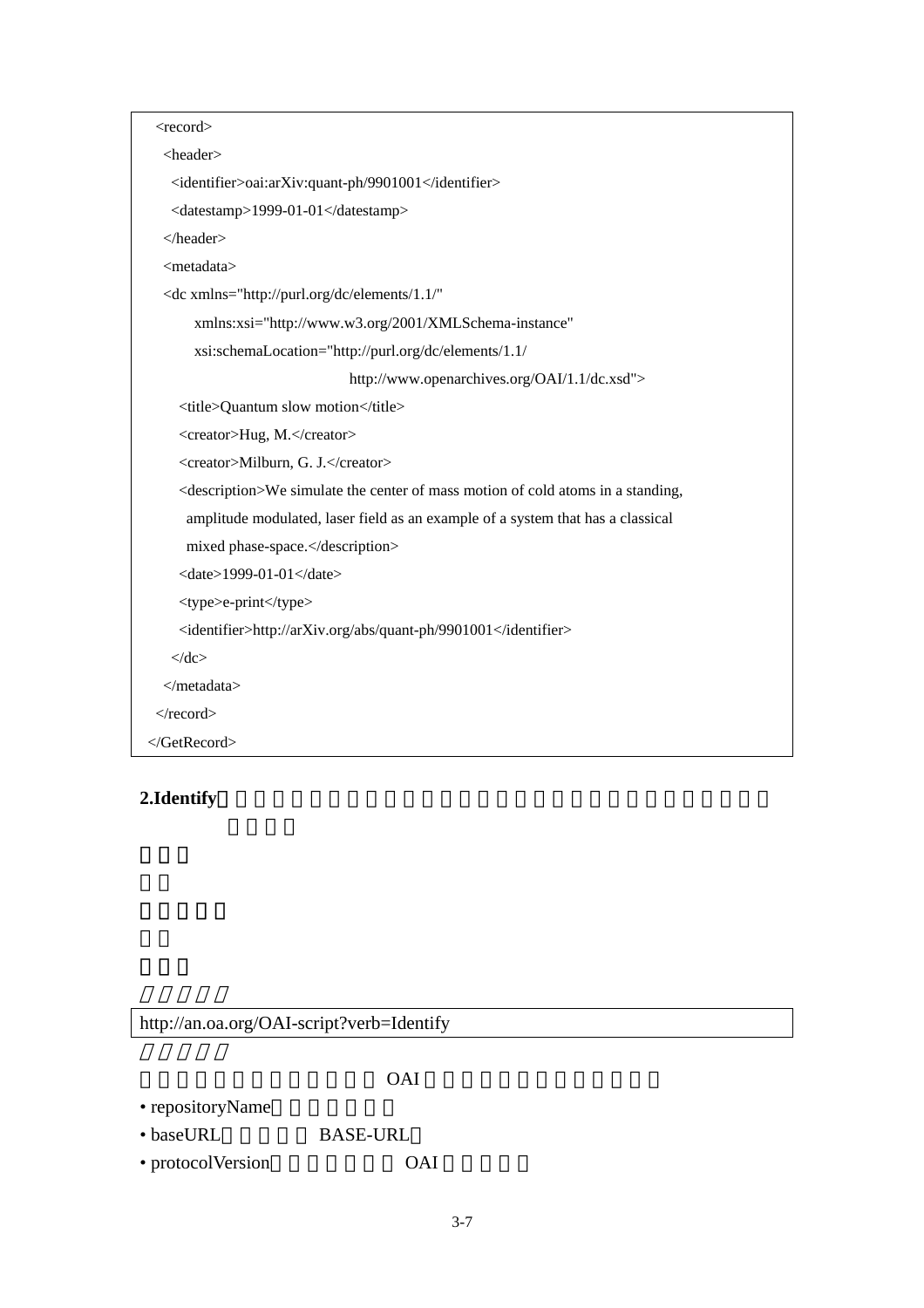| $<$ record $>$                                                                                |
|-----------------------------------------------------------------------------------------------|
| <header></header>                                                                             |
| <identifier>oai:arXiv:quant-ph/9901001</identifier>                                           |
| <datestamp>1999-01-01</datestamp>                                                             |
| $<$ /header>                                                                                  |
| <metadata></metadata>                                                                         |
| <dc <="" td="" xmlns="http://purl.org/dc/elements/1.1/"></dc>                                 |
| xmlns:xsi="http://www.w3.org/2001/XMLSchema-instance"                                         |
| xsi:schemaLocation="http://purl.org/dc/elements/1.1/                                          |
| http://www.openarchives.org/OAI/1.1/dc.xsd">                                                  |
| <title>Quantum slow motion</title>                                                            |
| <creator>Hug, M.</creator>                                                                    |
| <creator>Milburn, G. J.</creator>                                                             |
| <description>We simulate the center of mass motion of cold atoms in a standing,</description> |
| amplitude modulated, laser field as an example of a system that has a classical               |
| mixed phase-space.                                                                            |
| $\langle date \rangle$ 1999-01-01 $\langle date \rangle$                                      |
| <type>e-print</type>                                                                          |
| <identifier>http://arXiv.org/abs/quant-ph/9901001</identifier>                                |
| $\langle$ dc>                                                                                 |
| $\langle$ metadata>                                                                           |
| $\langle$ record $\rangle$                                                                    |
|                                                                                               |

# 2.Identify

# http://an.oa.org/OAI-script?verb=Identify

|                   | OAI             |  |
|-------------------|-----------------|--|
| • repositoryName  |                 |  |
| • baseURL         | <b>BASE-URL</b> |  |
| • protocolVersion | <b>OAI</b>      |  |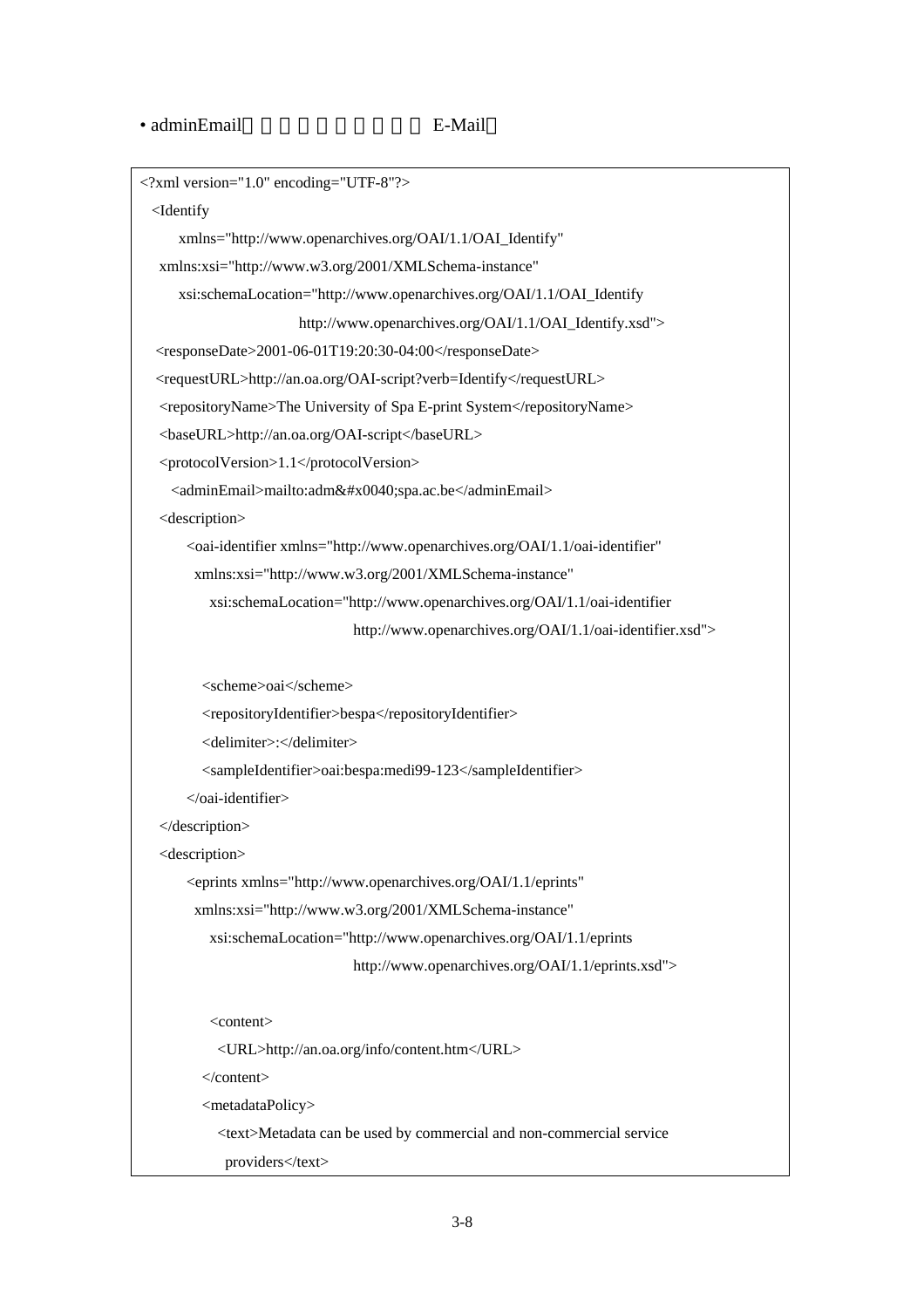#### • adminEmail F-Mail

```
<?xml version="1.0" encoding="UTF-8"?> 
  <Identify 
      xmlns="http://www.openarchives.org/OAI/1.1/OAI_Identify" 
   xmlns:xsi="http://www.w3.org/2001/XMLSchema-instance" 
      xsi:schemaLocation="http://www.openarchives.org/OAI/1.1/OAI_Identify 
                         http://www.openarchives.org/OAI/1.1/OAI_Identify.xsd"> 
   <responseDate>2001-06-01T19:20:30-04:00</responseDate> 
   <requestURL>http://an.oa.org/OAI-script?verb=Identify</requestURL> 
   <repositoryName>The University of Spa E-print System</repositoryName> 
   <baseURL>http://an.oa.org/OAI-script</baseURL> 
   <protocolVersion>1.1</protocolVersion> 
    <adminEmail>mailto:adm&#x0040;spa.ac.be</adminEmail>
   <description> 
        <oai-identifier xmlns="http://www.openarchives.org/OAI/1.1/oai-identifier" 
         xmlns:xsi="http://www.w3.org/2001/XMLSchema-instance" 
           xsi:schemaLocation="http://www.openarchives.org/OAI/1.1/oai-identifier 
                                 http://www.openarchives.org/OAI/1.1/oai-identifier.xsd"> 
          <scheme>oai</scheme> 
          <repositoryIdentifier>bespa</repositoryIdentifier> 
          <delimiter>:</delimiter> 
          <sampleIdentifier>oai:bespa:medi99-123</sampleIdentifier> 
        </oai-identifier> 
   </description> 
   <description> 
        <eprints xmlns="http://www.openarchives.org/OAI/1.1/eprints" 
         xmlns:xsi="http://www.w3.org/2001/XMLSchema-instance" 
           xsi:schemaLocation="http://www.openarchives.org/OAI/1.1/eprints 
                                 http://www.openarchives.org/OAI/1.1/eprints.xsd"> 
           <content> 
            <URL>http://an.oa.org/info/content.htm</URL> 
          </content> 
          <metadataPolicy> 
            <text>Metadata can be used by commercial and non-commercial service 
            providers</text>
```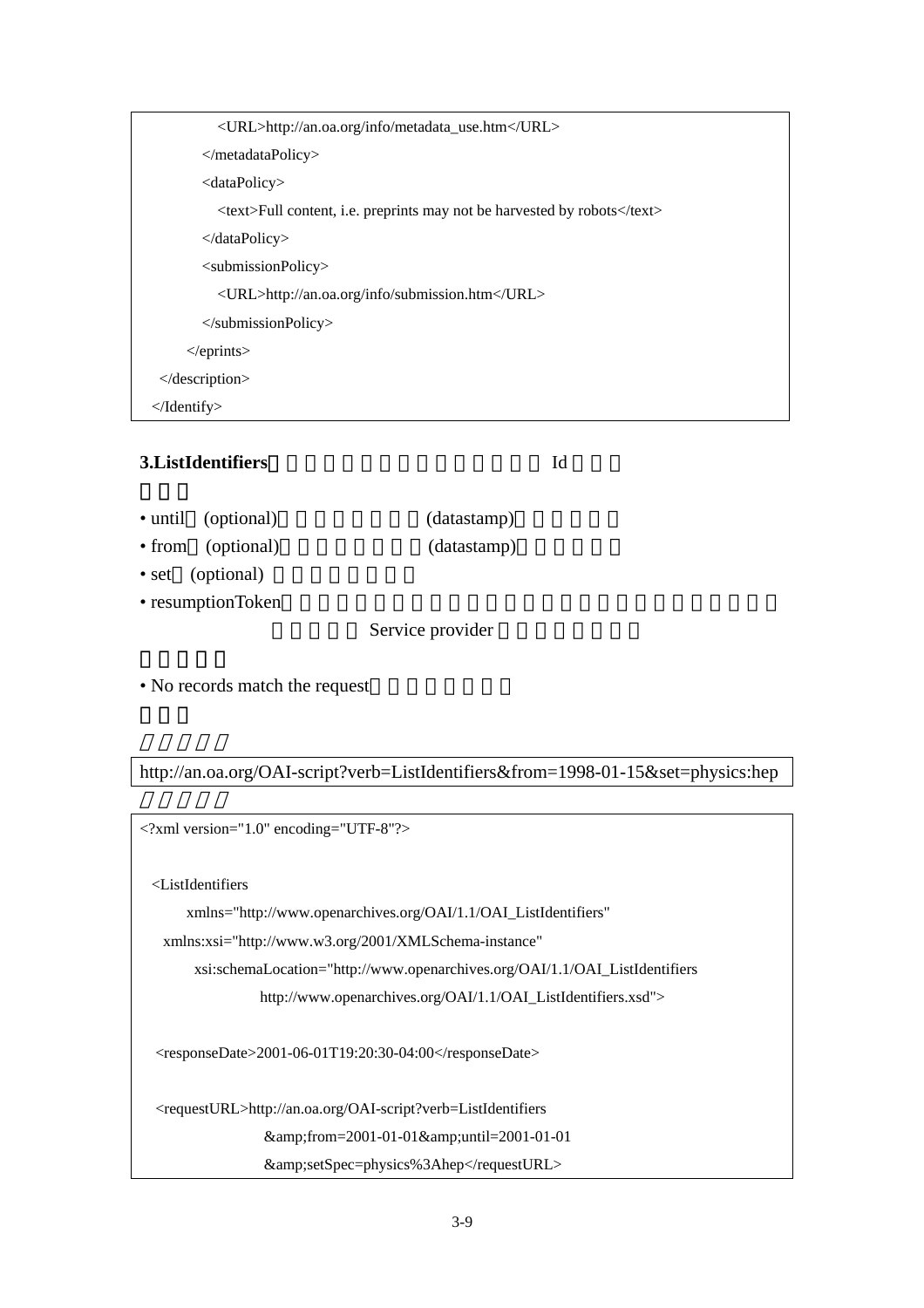| <url>http://an.oa.org/info/metadata_use.htm</url>                        |
|--------------------------------------------------------------------------|
| $\langle$ metadataPolicy>                                                |
| $\langle dataPolicy \rangle$                                             |
| <text>Full content, i.e. preprints may not be harvested by robots</text> |
| $\triangleleft$ dataPolicy>                                              |
| <submissionpolicy></submissionpolicy>                                    |
| <url>http://an.oa.org/info/submission.htm</url>                          |
| $\langle$ submissionPolicy>                                              |
| $\langle$ /eprints>                                                      |
| $\triangle$ description>                                                 |
| $\triangle$ /Identify>                                                   |

## **3.ListIdentifiers**:向儲存器取得能夠獲取資料錄的 Id 明細。

- until (optional) (datastamp)
- from (optional) (datastamp)
- set (optional)
- resumptionToken

Service provider

• No records match the request

http://an.oa.org/OAI-script?verb=ListIdentifiers&from=1998-01-15&set=physics:hep

```
<?xml version="1.0" encoding="UTF-8"?> 
  <ListIdentifiers 
       xmlns="http://www.openarchives.org/OAI/1.1/OAI_ListIdentifiers" 
    xmlns:xsi="http://www.w3.org/2001/XMLSchema-instance" 
         xsi:schemaLocation="http://www.openarchives.org/OAI/1.1/OAI_ListIdentifiers 
                 http://www.openarchives.org/OAI/1.1/OAI_ListIdentifiers.xsd">
   <responseDate>2001-06-01T19:20:30-04:00</responseDate> 
   <requestURL>http://an.oa.org/OAI-script?verb=ListIdentifiers 
                  &from=2001-01-01&until=2001-01-01
                   &amp;setSpec=physics%3Ahep</requestURL>
```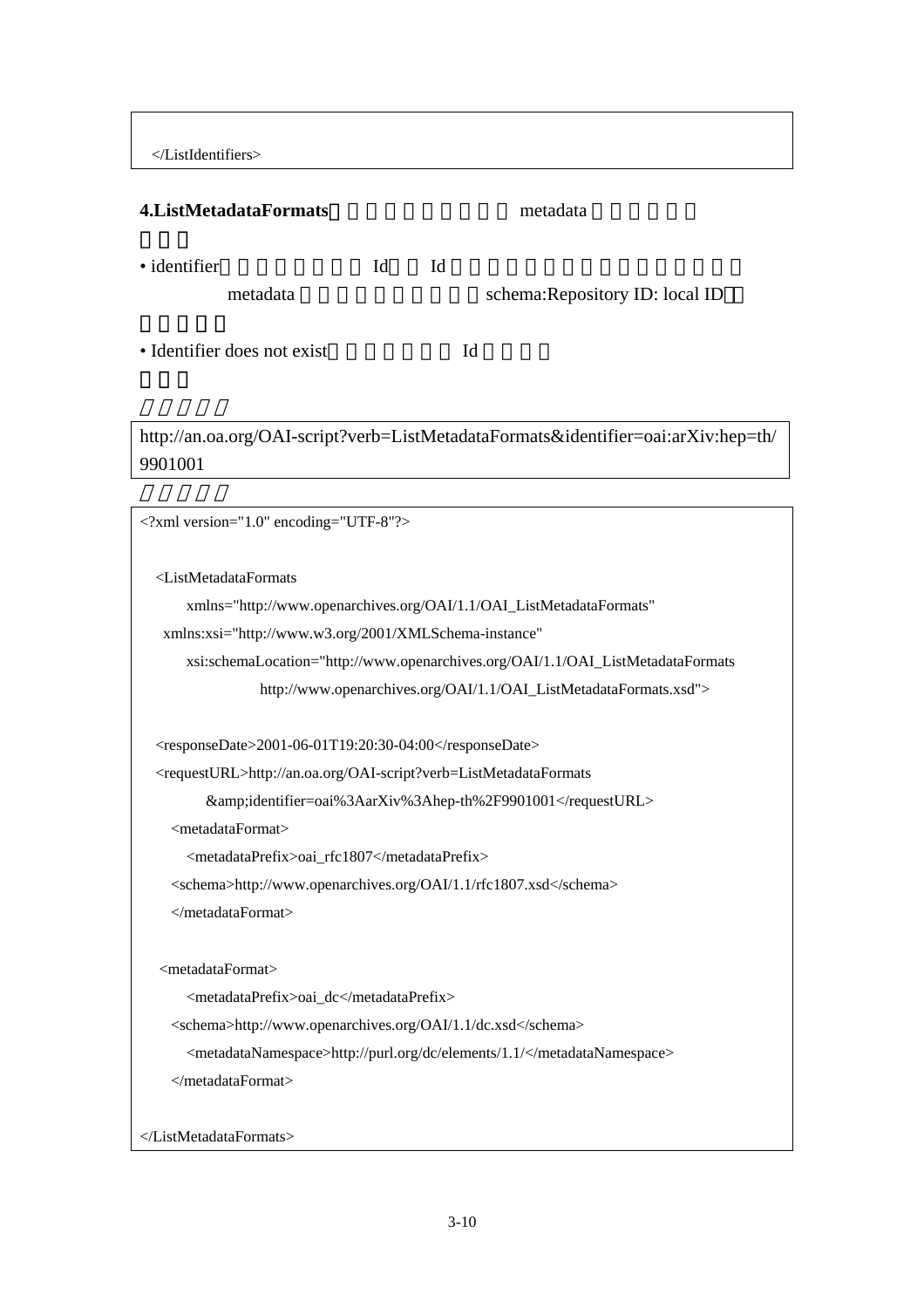</ListIdentifiers>

## **4.ListMetadataFormats** metadata metadata

• identifier dentifier and Id and Id to The National Account of The Theorem is not the National Account of The Theorem is not the National Account of The Theorem is not the National Account of The Theorem is not the Nation metadata schema:Repository ID: local ID • Identifier does not exist

## http://an.oa.org/OAI-script?verb=ListMetadataFormats&identifier=oai:arXiv:hep=th/ 9901001

<?xml version="1.0" encoding="UTF-8"?> <ListMetadataFormats xmlns="http://www.openarchives.org/OAI/1.1/OAI\_ListMetadataFormats" xmlns:xsi="http://www.w3.org/2001/XMLSchema-instance" xsi:schemaLocation="http://www.openarchives.org/OAI/1.1/OAI\_ListMetadataFormats http://www.openarchives.org/OAI/1.1/OAI\_ListMetadataFormats.xsd">  $<$ responseDate>2001-06-01T19:20:30-04:00</responseDate> <requestURL>http://an.oa.org/OAI-script?verb=ListMetadataFormats &amp;identifier=oai%3AarXiv%3Ahep-th%2F9901001</requestURL> <metadataFormat> <metadataPrefix>oai\_rfc1807</metadataPrefix> <schema>http://www.openarchives.org/OAI/1.1/rfc1807.xsd</schema> </metadataFormat> <metadataFormat> <metadataPrefix>oai\_dc</metadataPrefix> <schema>http://www.openarchives.org/OAI/1.1/dc.xsd</schema> <metadataNamespace>http://purl.org/dc/elements/1.1/</metadataNamespace> </metadataFormat> </ListMetadataFormats>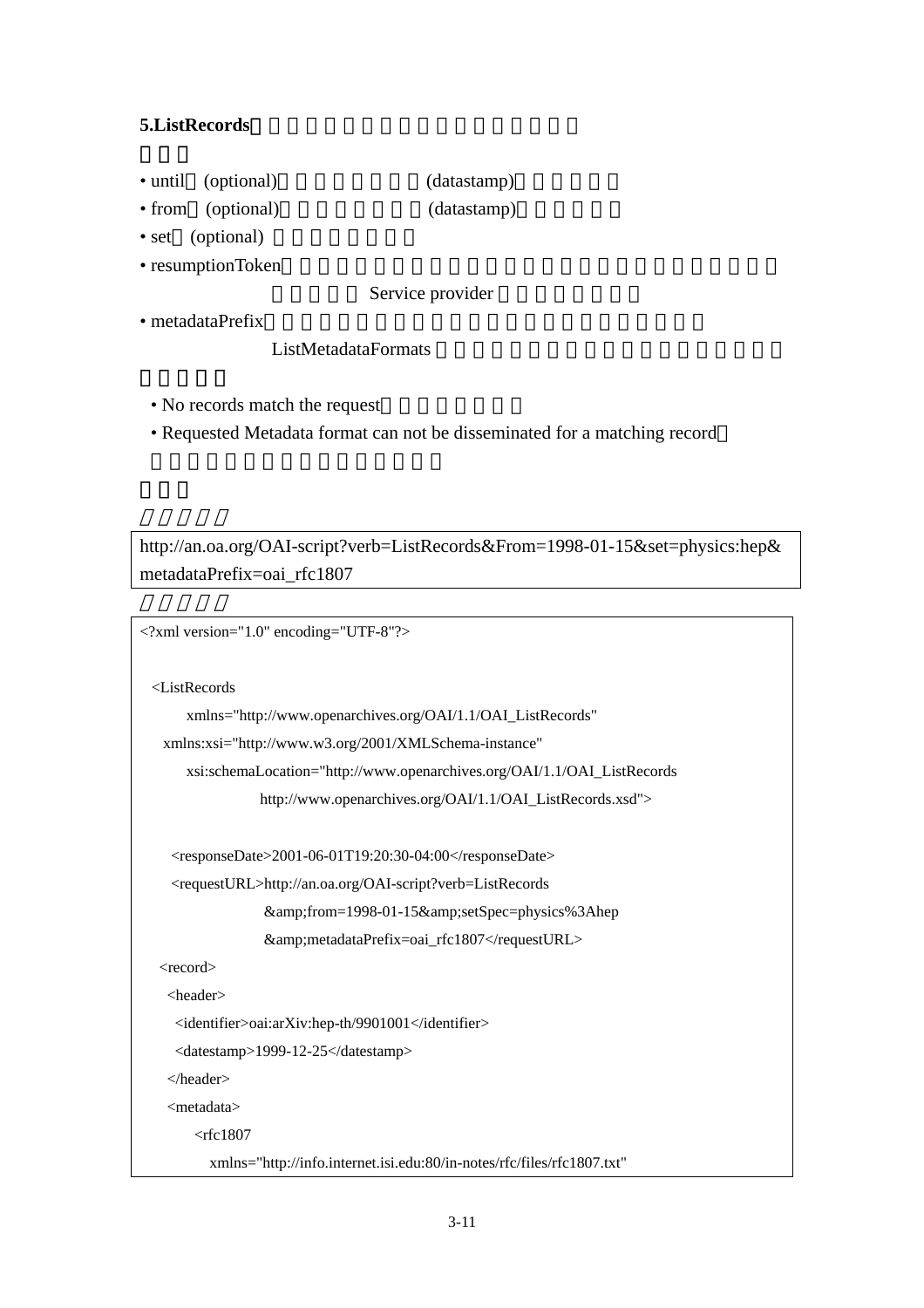## **5.ListRecords**:向儲存器取得指定範圍的所有資料錄。

- until (optional) (datastamp)
- from (optional) (datastamp)
- set (optional)
- resumptionToken

Service provider

• metadataPrefix

## ListMetadataFormats

- No records match the request
- Requested Metadata format can not be disseminated for a matching record

http://an.oa.org/OAI-script?verb=ListRecords&From=1998-01-15&set=physics:hep& metadataPrefix=oai\_rfc1807

```
<?xml version="1.0" encoding="UTF-8"?>
```
<ListRecords

```
 xmlns="http://www.openarchives.org/OAI/1.1/OAI_ListRecords"
```

```
 xmlns:xsi="http://www.w3.org/2001/XMLSchema-instance"
```
xsi:schemaLocation="http://www.openarchives.org/OAI/1.1/OAI\_ListRecords

http://www.openarchives.org/OAI/1.1/OAI\_ListRecords.xsd">

 $<$ responseDate>2001-06-01T19:20:30-04:00</responseDate>

```
 <requestURL>http://an.oa.org/OAI-script?verb=ListRecords
```
&from=1998-01-15&setSpec=physics%3Ahep

```
 &amp;metadataPrefix=oai_rfc1807</requestURL>
```
<record>

<header>

```
 <identifier>oai:arXiv:hep-th/9901001</identifier>
```
<datestamp>1999-12-25</datestamp>

</header>

<metadata>

 $<$ rfc1807

xmlns="http://info.internet.isi.edu:80/in-notes/rfc/files/rfc1807.txt"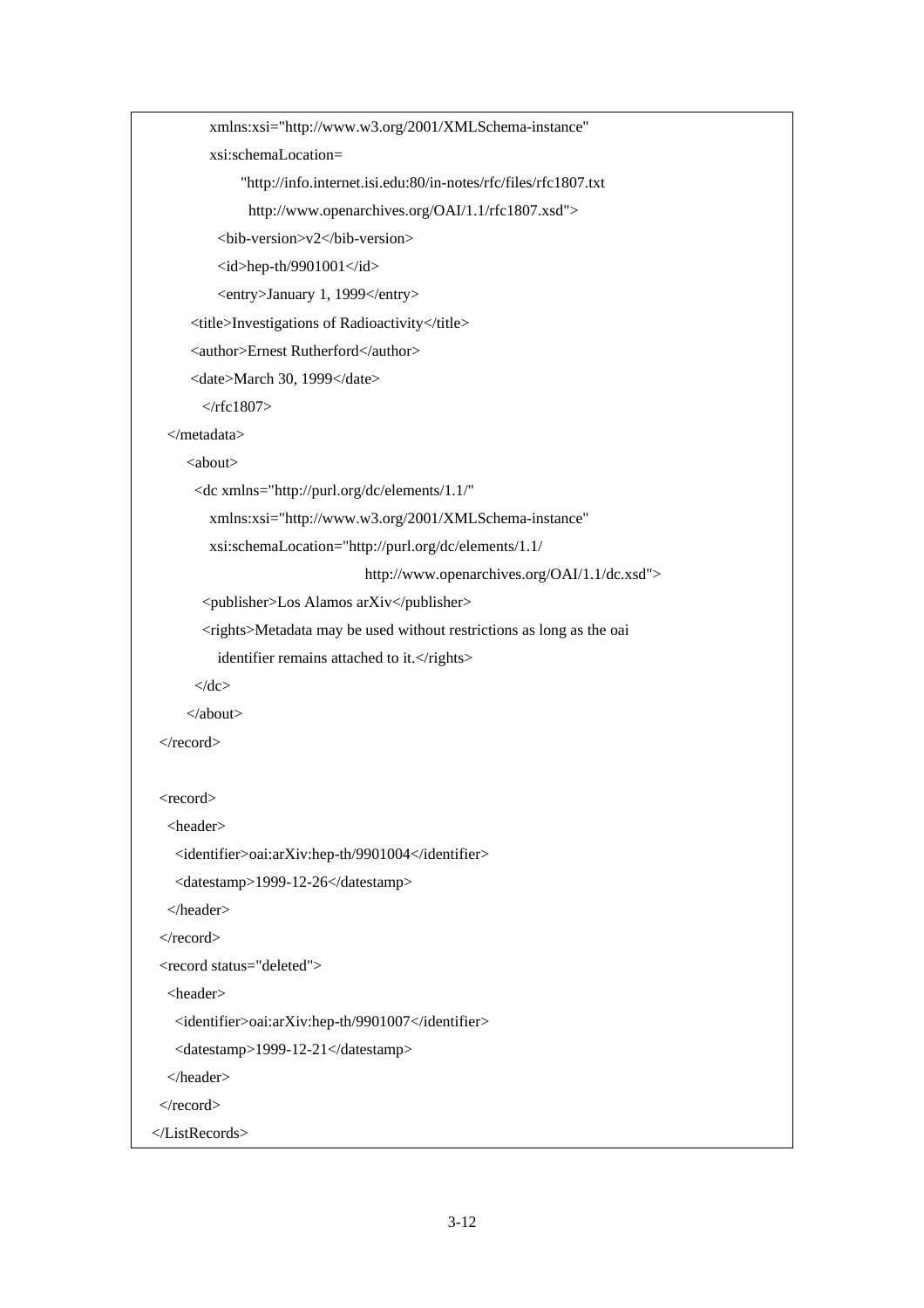```
 xmlns:xsi="http://www.w3.org/2001/XMLSchema-instance" 
          xsi:schemaLocation= 
               "http://info.internet.isi.edu:80/in-notes/rfc/files/rfc1807.txt 
                http://www.openarchives.org/OAI/1.1/rfc1807.xsd"> 
           <bib-version>v2</bib-version> 
          \langleid>hep-th/9901001\langleid>
           <entry>January 1, 1999</entry> 
       <title>Investigations of Radioactivity</title> 
       <author>Ernest Rutherford</author> 
       <date>March 30, 1999</date> 
        \langlerfc1807>
   </metadata> 
      <about> 
       <dc xmlns="http://purl.org/dc/elements/1.1/" 
          xmlns:xsi="http://www.w3.org/2001/XMLSchema-instance" 
          xsi:schemaLocation="http://purl.org/dc/elements/1.1/ 
                                    http://www.openarchives.org/OAI/1.1/dc.xsd"> 
         <publisher>Los Alamos arXiv</publisher> 
         <rights>Metadata may be used without restrictions as long as the oai 
          identifier remains attached to it.</rights>
      \langledc>
      </about> 
 </record> 
 <record>
   <header> 
    <identifier>oai:arXiv:hep-th/9901004</identifier> 
    <datestamp>1999-12-26</datestamp> 
   </header> 
\langlerecord\rangle <record status="deleted"> 
   <header> 
   <identifier>oai:arXiv:hep-th/9901007</identifier>
    <datestamp>1999-12-21</datestamp> 
   </header> 
\langlerecord\rangle </ListRecords>
```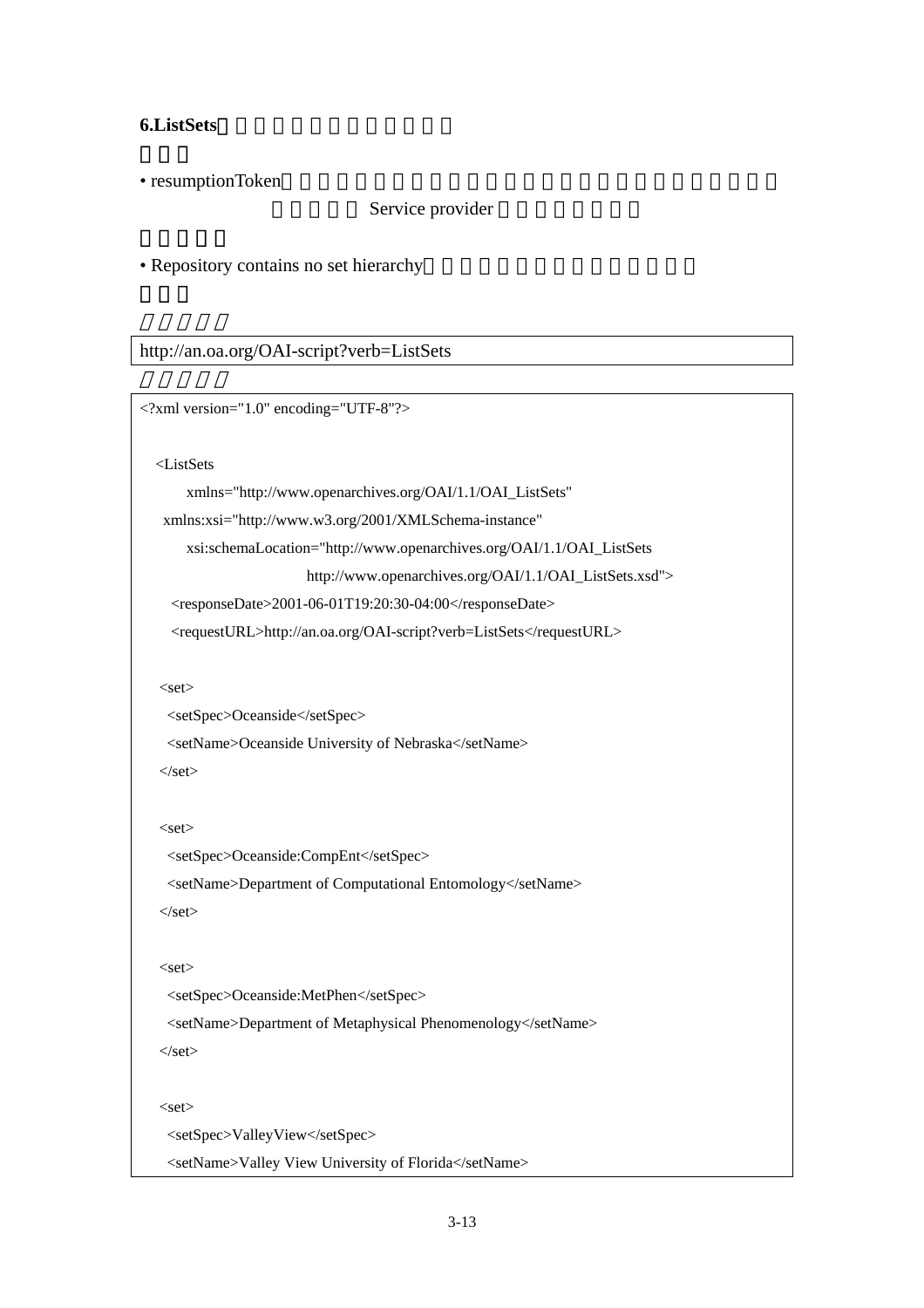## **6.ListSets**:取得儲存器的資料集結構。

• resumptionToken

Service provider

• Repository contains no set hierarchy

http://an.oa.org/OAI-script?verb=ListSets

```
<?xml version="1.0" encoding="UTF-8"?> 
   <ListSets 
        xmlns="http://www.openarchives.org/OAI/1.1/OAI_ListSets" 
    xmlns:xsi="http://www.w3.org/2001/XMLSchema-instance" 
        xsi:schemaLocation="http://www.openarchives.org/OAI/1.1/OAI_ListSets 
                          http://www.openarchives.org/OAI/1.1/OAI_ListSets.xsd"> 
    <responseDate>2001-06-01T19:20:30-04:00</responseDate>
     <requestURL>http://an.oa.org/OAI-script?verb=ListSets</requestURL> 
  <set> <setSpec>Oceanside</setSpec> 
    <setName>Oceanside University of Nebraska</setName>
   \langleset\rangle<set> <setSpec>Oceanside:CompEnt</setSpec> 
     <setName>Department of Computational Entomology</setName> 
   \langleset\rangle\leqset> <setSpec>Oceanside:MetPhen</setSpec> 
     <setName>Department of Metaphysical Phenomenology</setName> 
   \langleset\rangle\leqset><setSpec>ValleyView</setSpec>
    <setName>Valley View University of Florida</setName>
```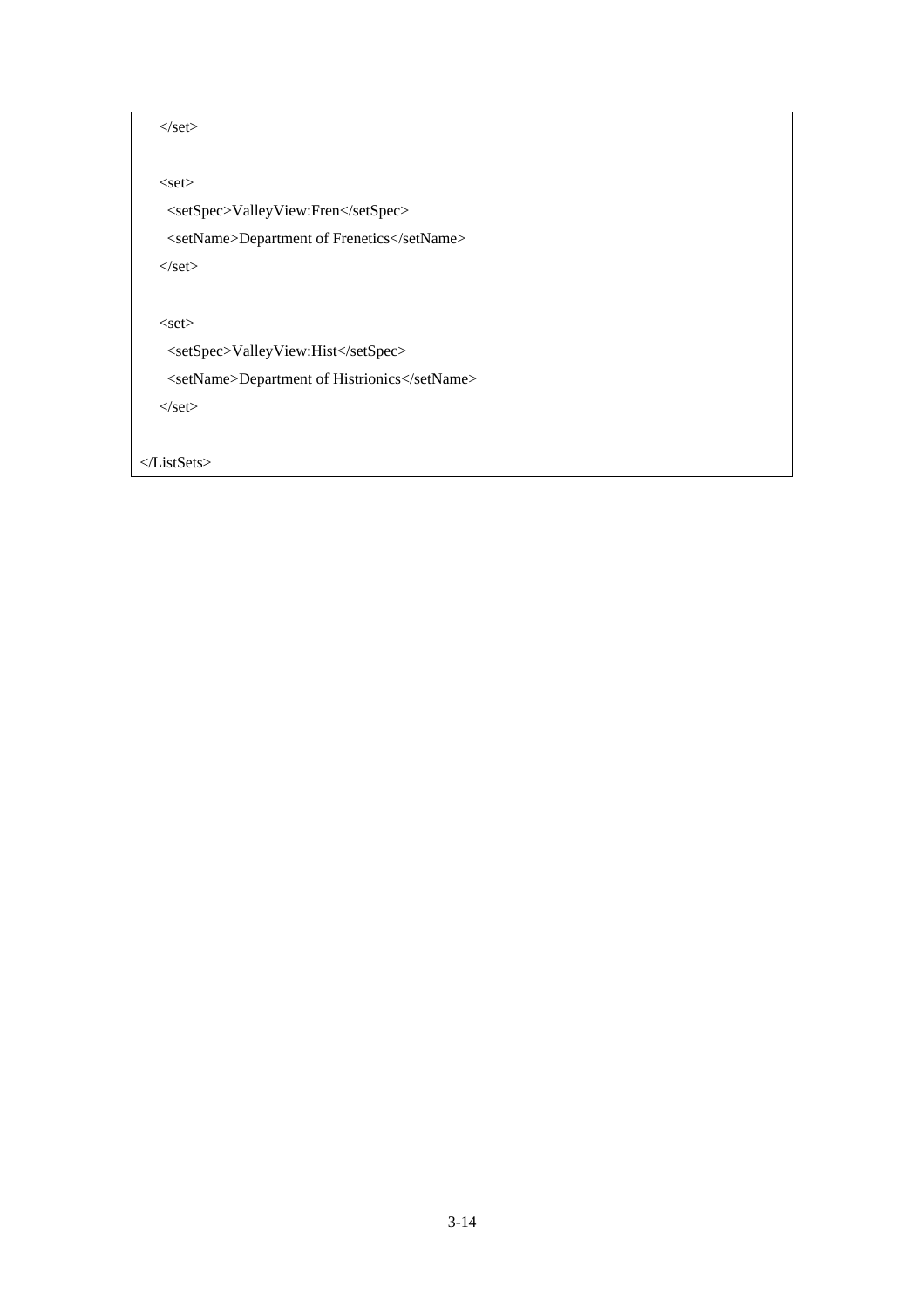```
\langleset\rangle
```
 $\leq$ set $>$ 

<setSpec>ValleyView:Fren</setSpec>

<setName>Department of Frenetics</setName>

 $\langle$ set $>$ 

 $\leq$ set $>$ 

<setSpec>ValleyView:Hist</setSpec>

<setName>Department of Histrionics</setName>

 $\langle$ set $>$ 

</ListSets>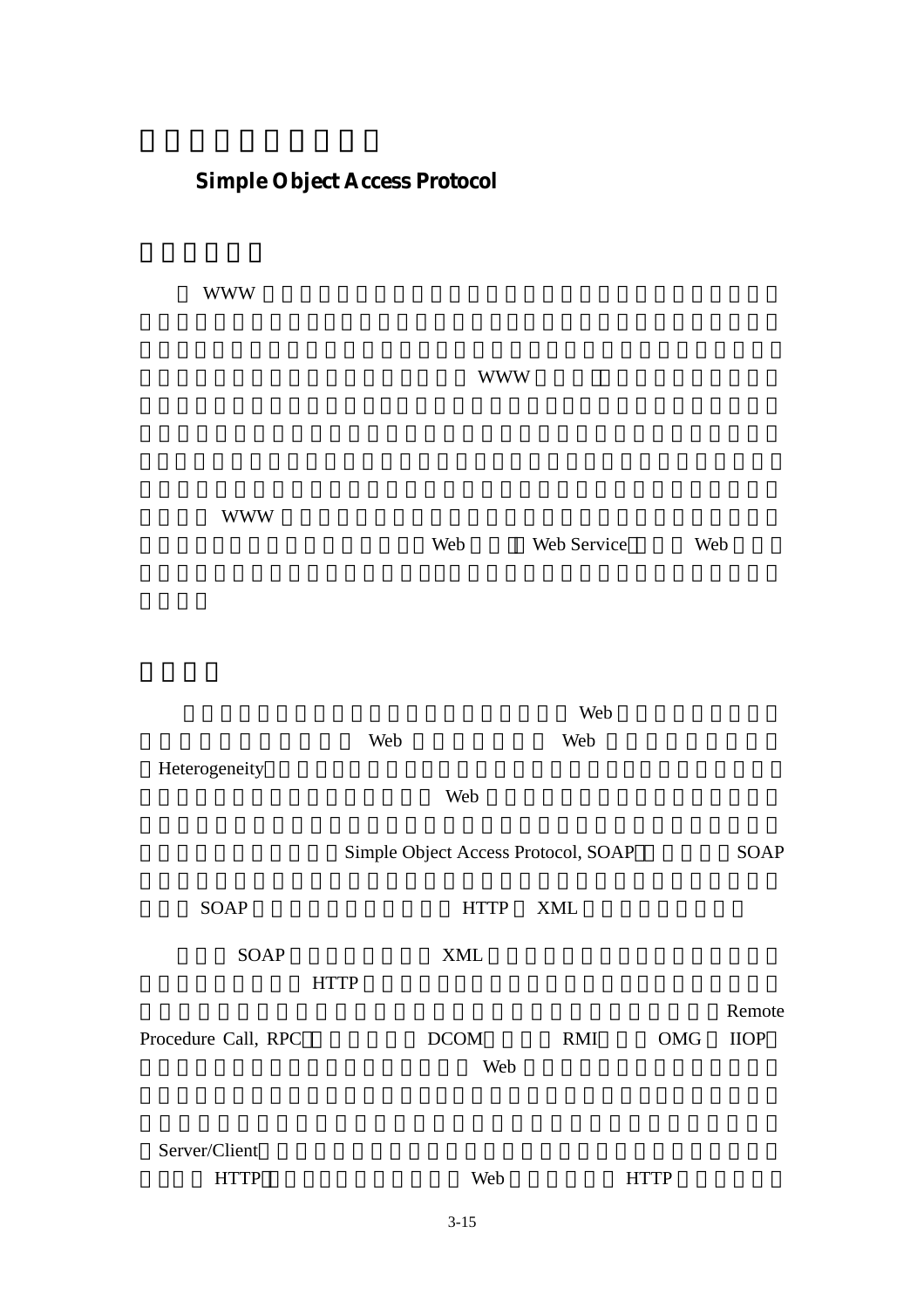# **Simple Object Access Protocol**

 $WWW$ 

這些系統不單面臨了新的需求挑戰(隨著 WWW 的進步),同時又肩負著與舊有 擔。而以 WWW 的角度來看,便是由靜態的全球資訊網絡,轉變為動態的全球 Web Web Service Web

目前發展所面臨的問題,是如何整合與協調各個 Web 服務的執行階段,使 工作能夠藉由一個或多個 Web 服務來完成。而 Web 服務大都有異質特性 Heterogeneity 甚至是不同的連結方式。因此在這些 Web 服務元件的連結溝通上,便形成了一 Simple Object Access Protocol, SOAP **808P** SOAP HTTP XML SOAP XML 用程式可以藉此透過 HTTP 來進行溝通。其實為達到這類目的,已經有許多的通 訊標準被開發出來,且發展的時日也不算短,如各種遠端程序呼叫(Remote Procedure Call, RPC  $\sim$  DCOM RMI OMG IIOP 但是由於目前的需求,是偏向如何讓許多 Web 服務做有效的溝通,因此這些強 Server/Client HTTP Web HTTP

3-15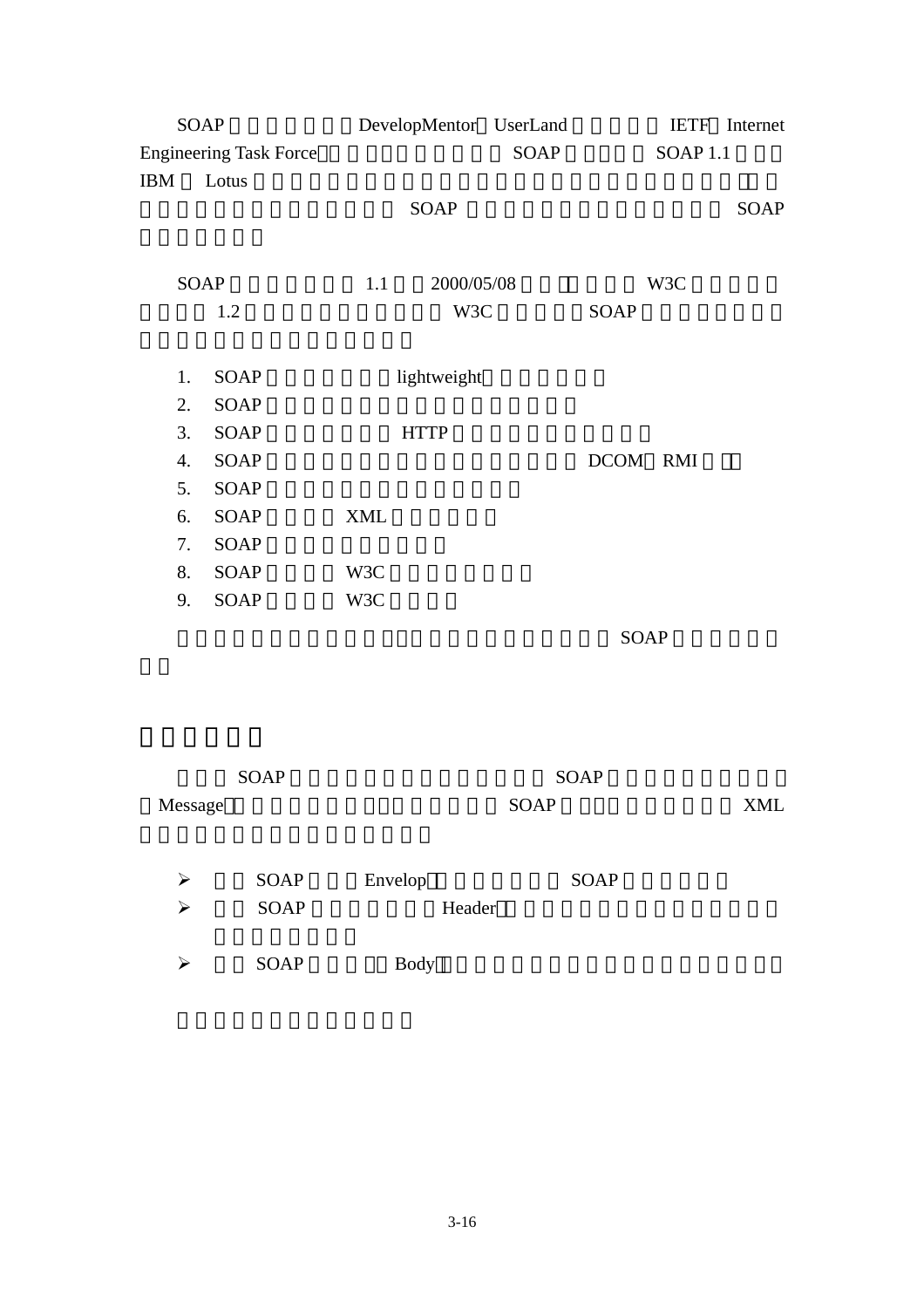| SOAP                          |             |            |             | DevelopMentor UserLand |             |                     | <b>IETF</b> Internet |
|-------------------------------|-------------|------------|-------------|------------------------|-------------|---------------------|----------------------|
| <b>Engineering Task Force</b> |             |            |             | SOAP                   |             | SOAP <sub>1.1</sub> |                      |
| IBM                           | Lotus       |            |             |                        |             |                     |                      |
|                               |             |            | SOAP        |                        |             |                     | SOAP                 |
|                               |             |            |             |                        |             |                     |                      |
|                               | <b>SOAP</b> | 1.1        | 2000/05/08  |                        |             | W3C                 |                      |
|                               | 1.2         |            | W3C         |                        | SOAP        |                     |                      |
|                               |             |            |             |                        |             |                     |                      |
| 1.                            | <b>SOAP</b> |            | lightweight |                        |             |                     |                      |
| 2.                            | <b>SOAP</b> |            |             |                        |             |                     |                      |
| 3.                            | <b>SOAP</b> |            | <b>HTTP</b> |                        |             |                     |                      |
| 4.                            | <b>SOAP</b> |            |             |                        | DCOM RMI    |                     |                      |
| 5.                            | <b>SOAP</b> |            |             |                        |             |                     |                      |
| 6.                            | SOAP        | <b>XML</b> |             |                        |             |                     |                      |
| 7.                            | <b>SOAP</b> |            |             |                        |             |                     |                      |
| 8.                            | SOAP        | W3C        |             |                        |             |                     |                      |
| 9.                            | SOAP        | W3C        |             |                        |             |                     |                      |
|                               |             |            |             |                        | <b>SOAP</b> |                     |                      |
|                               |             |            |             |                        |             |                     |                      |

|         | <b>SOAP</b> |             | <b>SOAP</b> |  |
|---------|-------------|-------------|-------------|--|
| Message |             |             | <b>XML</b>  |  |
|         |             |             |             |  |
| ↘       | <b>SOAP</b> | Envelop     | <b>SOAP</b> |  |
| ↘       | <b>SOAP</b> | Header      |             |  |
|         |             |             |             |  |
| ↘       | <b>SOAP</b> | <b>Body</b> |             |  |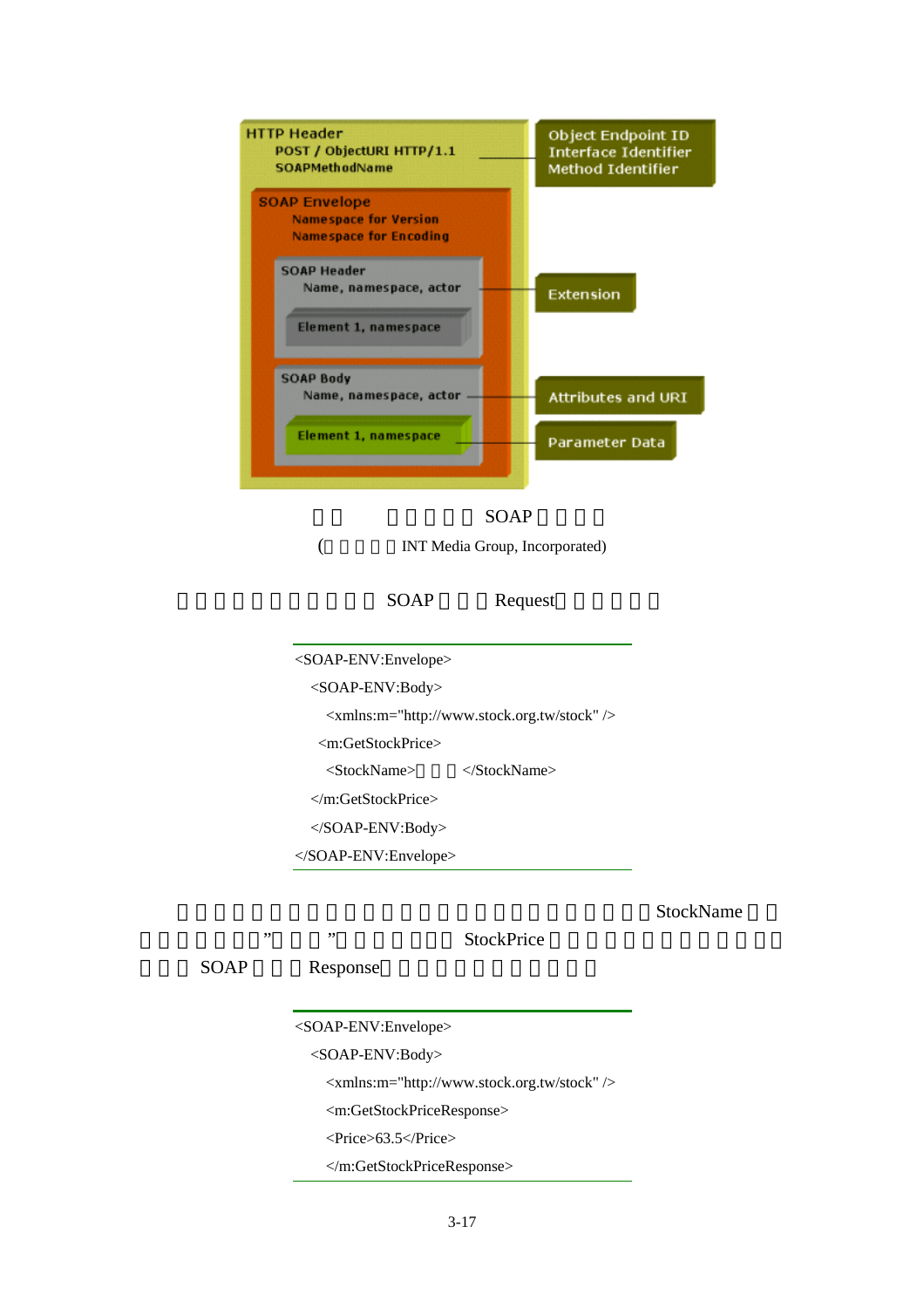



(
INT Media Group, Incorporated)

SOAP Request

<SOAP-ENV:Envelope> <SOAP-ENV:Body> <xmlns:m="http://www.stock.org.tw/stock" /> <m:GetStockPrice> <StockName> </StockName> </m:GetStockPrice> </SOAP-ENV:Body> </SOAP-ENV:Envelope>

StockName

遞的參數項目,"台積電"則為參數值,而 StockPrice 則將會是傳回值項目的名稱。 SOAP Response <SOAP-ENV:Envelope> <SOAP-ENV:Body> <xmlns:m="http://www.stock.org.tw/stock" /> <m:GetStockPriceResponse> <Price>63.5</Price> </m:GetStockPriceResponse>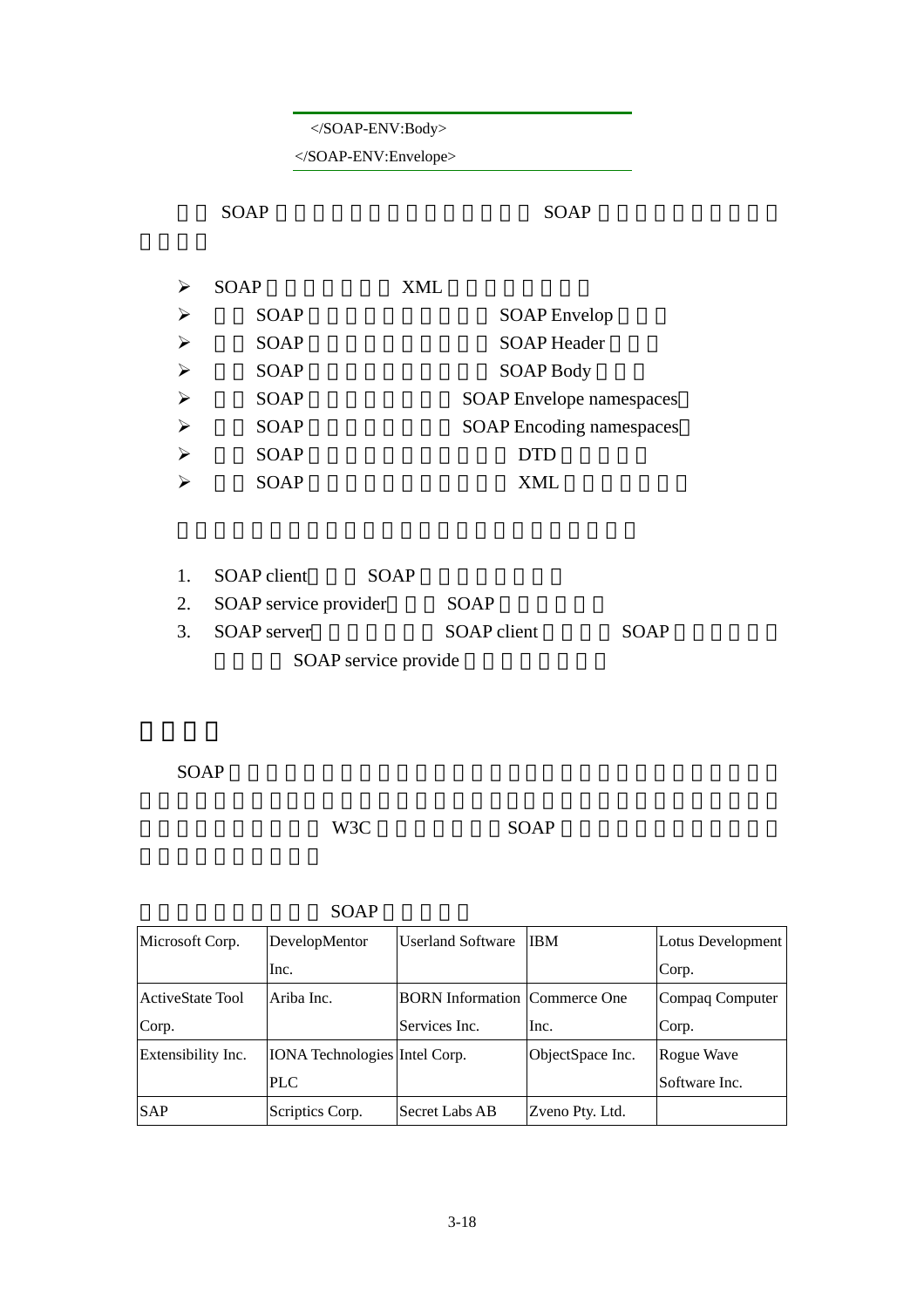## </SOAP-ENV:Body>

</SOAP-ENV:Envelope>

#### SOAP SOAP SOAP

|                       | <b>SOAP</b> | XML                             |
|-----------------------|-------------|---------------------------------|
| $\blacktriangleright$ | <b>SOAP</b> | <b>SOAP</b> Envelop             |
| $\triangleright$      | SOAP        | <b>SOAP</b> Header              |
| $\triangleright$      | <b>SOAP</b> | <b>SOAP Body</b>                |
| $\triangleright$      | <b>SOAP</b> | <b>SOAP</b> Envelope namespaces |
| $\triangleright$      | <b>SOAP</b> | <b>SOAP</b> Encoding namespaces |
| $\triangleright$      | <b>SOAP</b> | <b>DTD</b>                      |
|                       | <b>SOAP</b> | XML                             |
|                       |             |                                 |

| 1. SOAP client           | SOAP                 |             |      |
|--------------------------|----------------------|-------------|------|
| 2. SOAP service provider |                      | SOAP        |      |
| 3. SOAP server           |                      | SOAP client | SOAP |
|                          | SOAP service provide |             |      |

 $SOP$ 

## 問題。但無論如何,在 W3C 的努力推動下,SOAP 極有可能成為未來物件存取

| Microsoft Corp.    | DevelopMentor                        | Userland Software                    | <b>IBM</b>       | Lotus Development |
|--------------------|--------------------------------------|--------------------------------------|------------------|-------------------|
|                    | Inc.                                 |                                      |                  | Corp.             |
| ActiveState Tool   | lAriba Inc.                          | <b>BORN</b> Information Commerce One |                  | Compaq Computer   |
| Corp.              |                                      | Services Inc.                        | Inc.             | Corp.             |
| Extensibility Inc. | <b>IONA</b> Technologies Intel Corp. |                                      | ObjectSpace Inc. | Rogue Wave        |
|                    | <b>PLC</b>                           |                                      |                  | Software Inc.     |
| <b>SAP</b>         | Scriptics Corp.                      | lSecret Labs AB                      | Zveno Pty. Ltd.  |                   |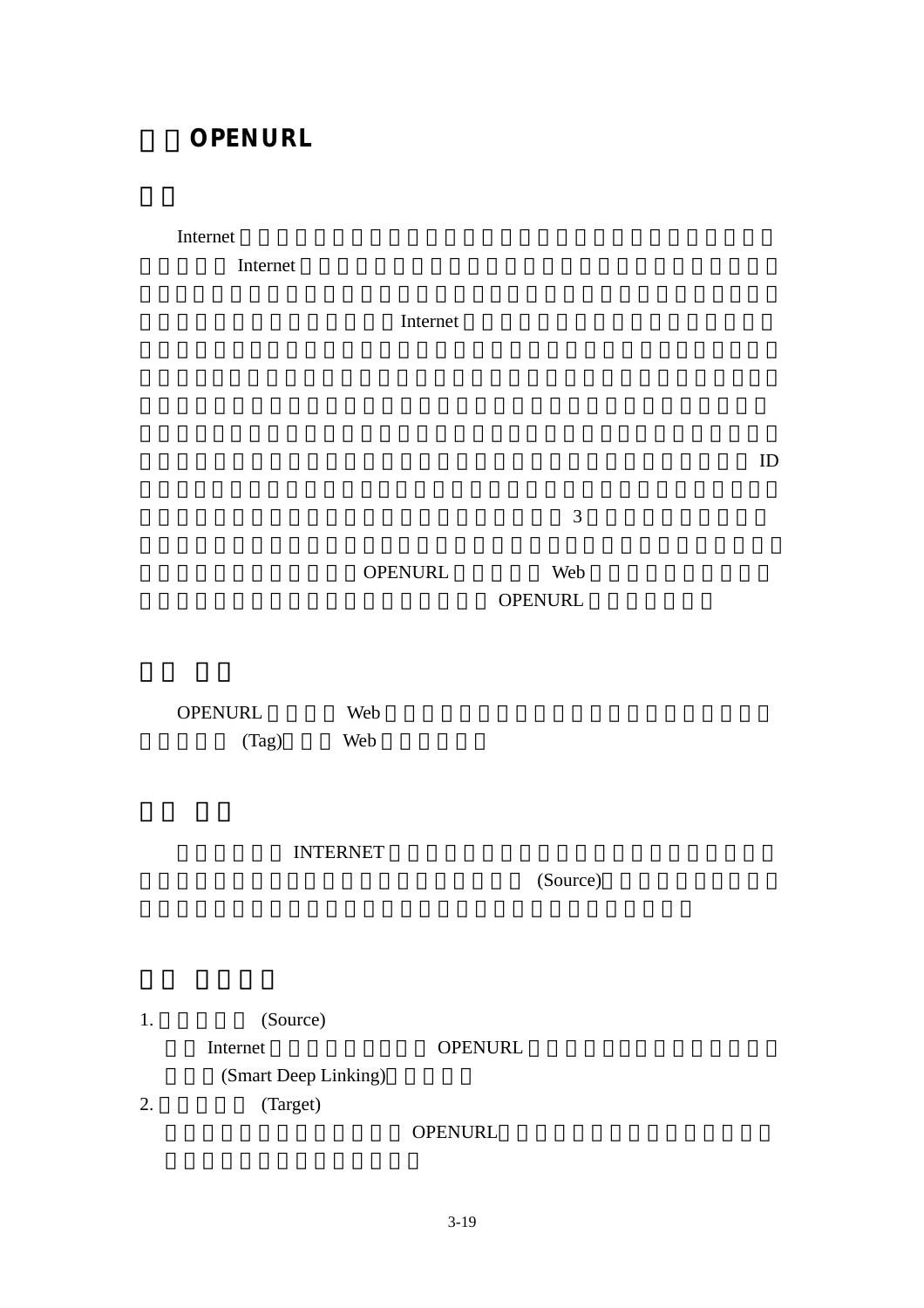# **OPENURL**

Internet **Example** 2014 **Internet** 

一。也因為 Internet 的推出,使得資訊無遠弗界得以實現,反應到學術界則更為

**Internet** 是精湛的人。

 $ID$ 

 $3$ 

## OPENURL Web OPENURL

OPENURL Web (Tag) Web

INTERNET

(Source)

1. (Source) Internet OPENURL (Smart Deep Linking) 2. (Target)

OPENURL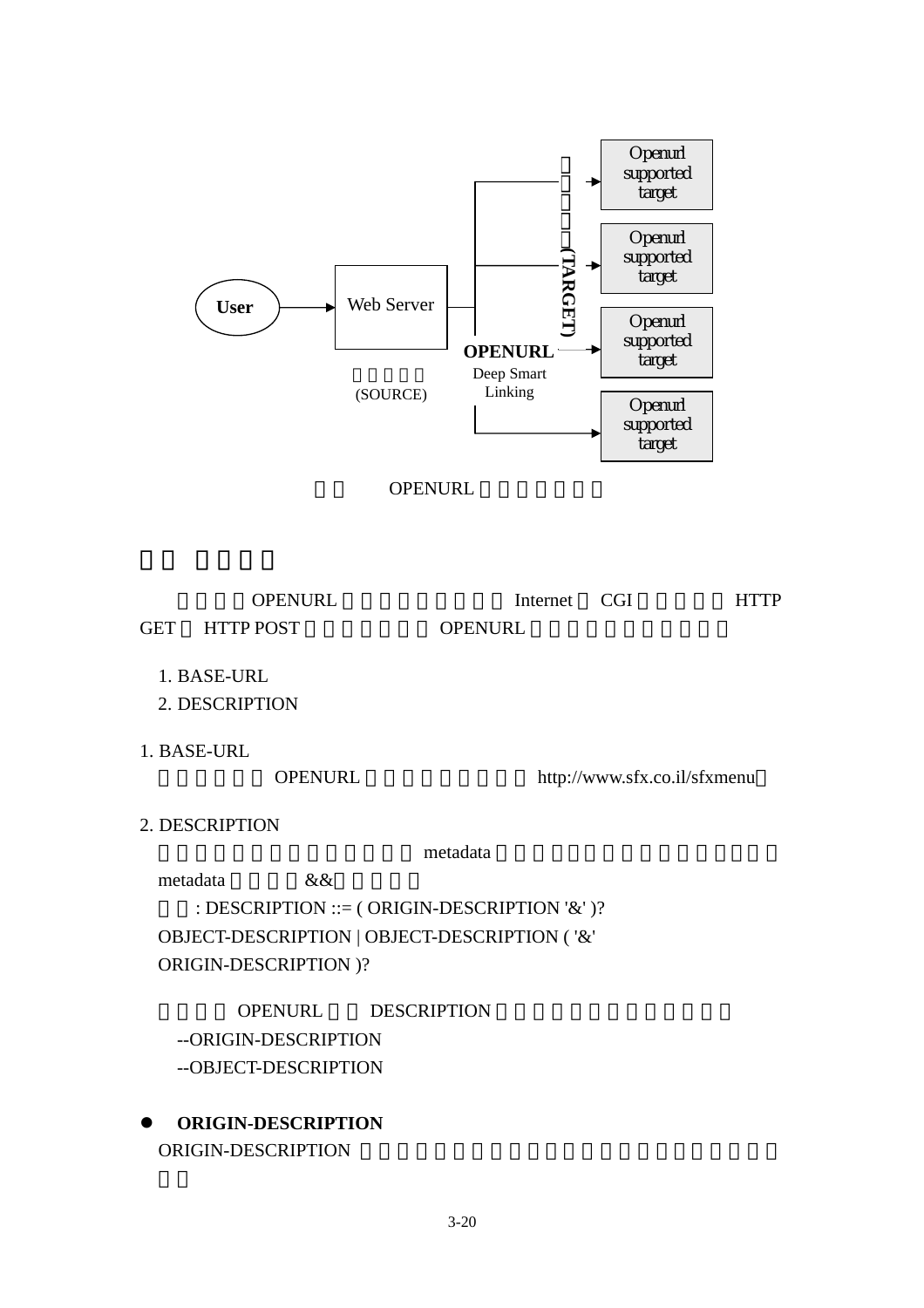



OPENURL Internet CGI HTTP

GET HTTP POST OPENURL

1. BASE-URL

2. DESCRIPTION

1. BASE-URL

OPENURL http://www.sfx.co.il/sfxmenu

2. DESCRIPTION

metadata

metadata &&

: DESCRIPTION ::= ( ORIGIN-DESCRIPTION '&' )? OBJECT-DESCRIPTION | OBJECT-DESCRIPTION ( '&' ORIGIN-DESCRIPTION )?

OPENURL DESCRIPTION --ORIGIN-DESCRIPTION --OBJECT-DESCRIPTION

z **ORIGIN-DESCRIPTION**  ORIGIN-DESCRIPTION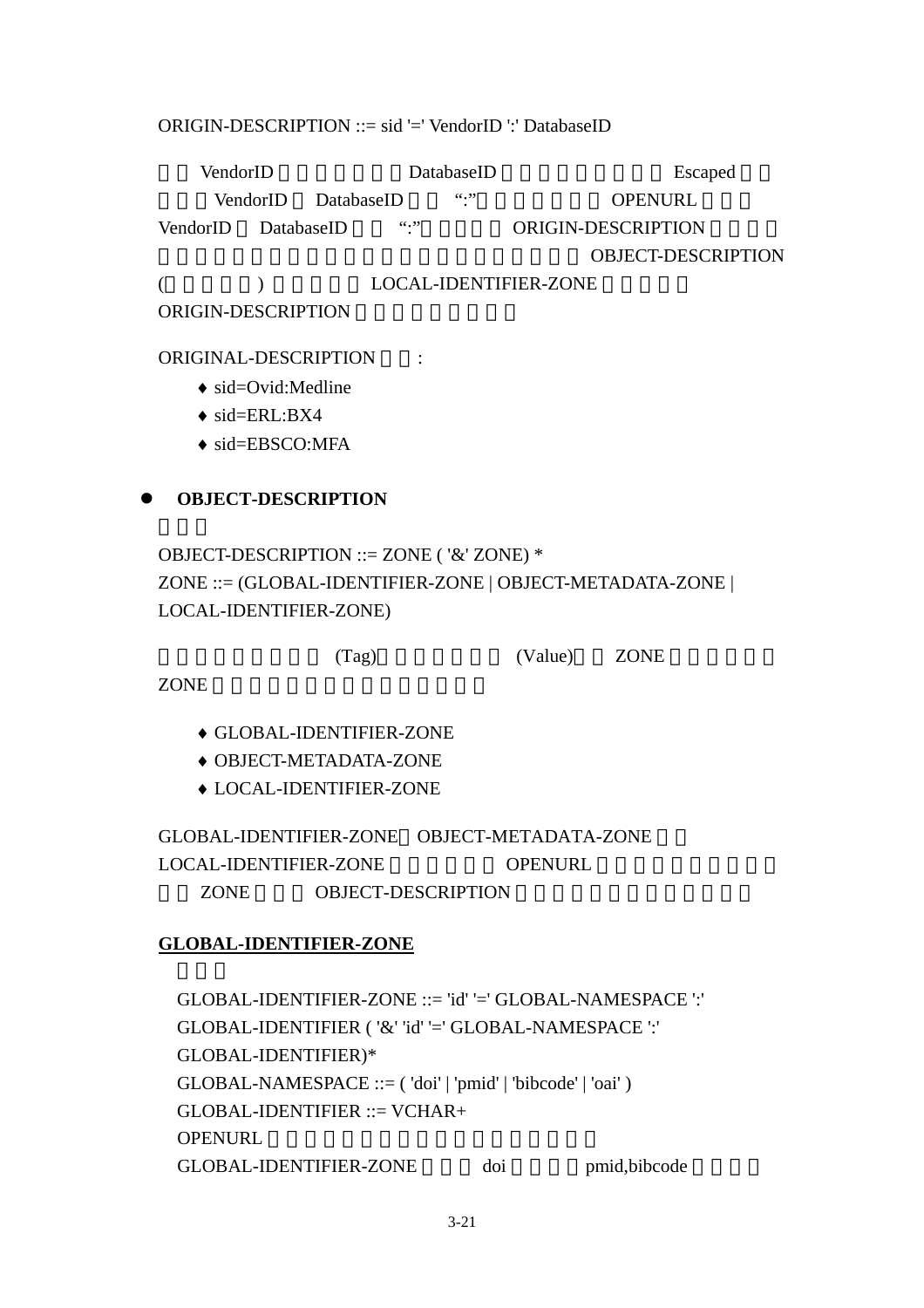## ORIGIN-DESCRIPTION ::= sid '=' VendorID ':' DatabaseID

VendorID DatabaseID Escaped VendorID DatabaseID ":" OPENURL VendorID DatabaseID ":" ORIGIN-DESCRIPTION OBJECT-DESCRIPTION (  $\begin{array}{ccc} & \hspace{1.5cm} & \hspace{1.5cm} \text{LOCAL-IDENTIFYER-ZONE} \end{array}$ 

ORIGIN-DESCRIPTION

## ORIGINAL-DESCRIPTION :

- $\bullet$  sid=Ovid:Medline
- $\bullet$  sid=ERL:BX4
- ♦ sid=EBSCO:MFA

## $\bullet$  **OBJECT-DESCRIPTION**

OBJECT-DESCRIPTION ::= ZONE ( '&' ZONE) \* ZONE ::= (GLOBAL-IDENTIFIER-ZONE | OBJECT-METADATA-ZONE | LOCAL-IDENTIFIER-ZONE)

(Tag)  $(Value)$  ZONE

ZONE

- ♦ GLOBAL-IDENTIFIER-ZONE
- ♦ OBJECT-METADATA-ZONE
- ♦ LOCAL-IDENTIFIER-ZONE

GLOBAL-IDENTIFIER-ZONE OBJECT-METADATA-ZONE LOCAL-IDENTIFIER-ZONE OPENURL ZONE OBJECT-DESCRIPTION

## **GLOBAL-IDENTIFIER-ZONE**

 $GLOBAL$ -IDENTIFIER-ZONE  $::=$  'id' '='  $GLOBAL$ -NAMESPACE ':' GLOBAL-IDENTIFIER ( '&' 'id' '=' GLOBAL-NAMESPACE ':' GLOBAL-IDENTIFIER)\* GLOBAL-NAMESPACE ::= ( 'doi' | 'pmid' | 'bibcode' | 'oai' ) GLOBAL-IDENTIFIER ::= VCHAR+ OPENURL GLOBAL-IDENTIFIER-ZONE doi pmid,bibcode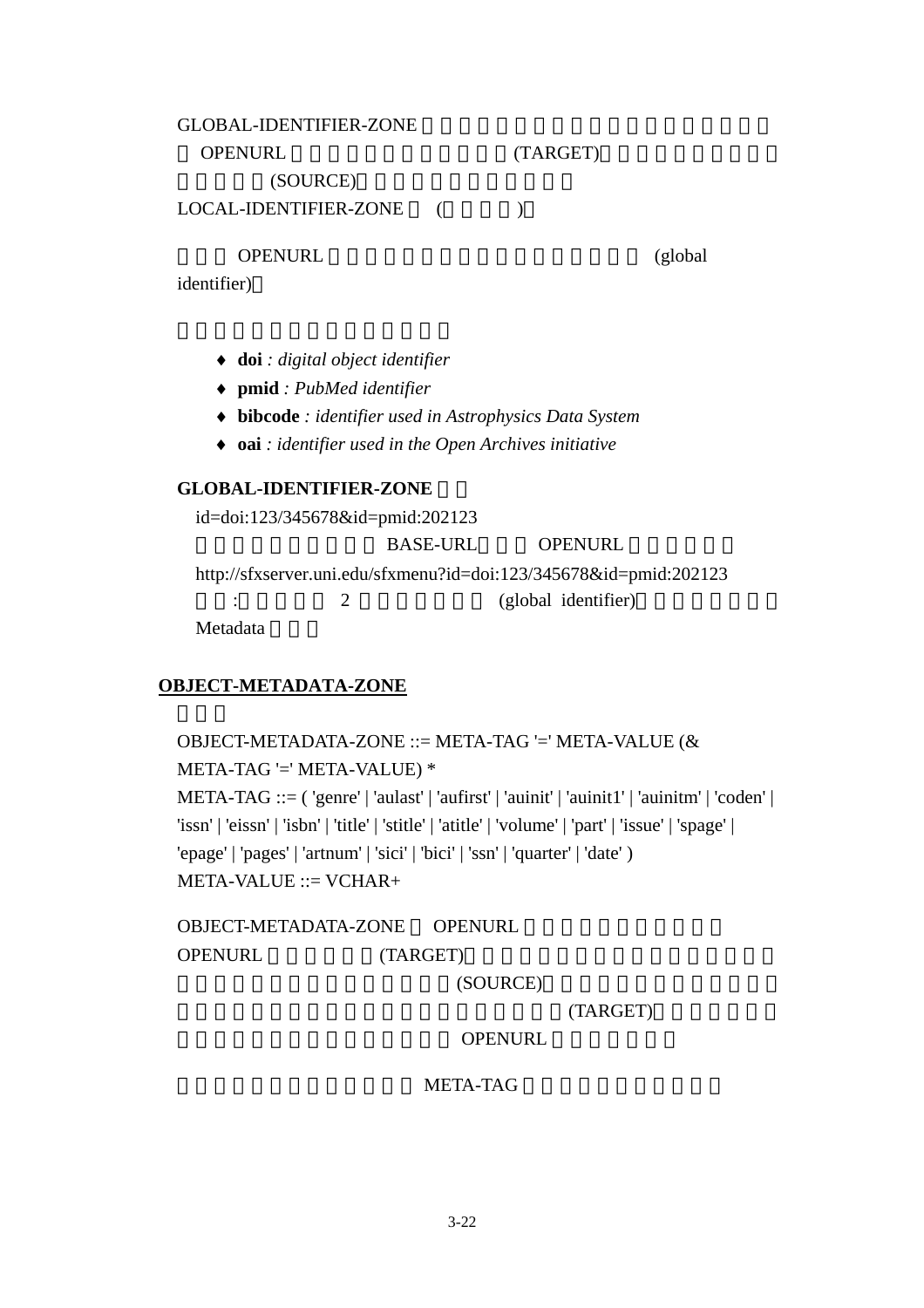## GLOBAL-IDENTIFIER-ZONE OPENURL (TARGET) (SOURCE) LOCAL-IDENTIFIER-ZONE (

OPENURL (global)

identifier)

- ♦ **doi** *: digital object identifier*
- ♦ **pmid** *: PubMed identifier*
- ♦ **bibcode** *: identifier used in Astrophysics Data System*
- ♦ **oai** *: identifier used in the Open Archives initiative*

## **GLOBAL-IDENTIFIER-ZONE**

id=doi:123/345678&id=pmid:202123 BASE-URL, OPENURL http://sfxserver.uni.edu/sfxmenu?id=doi:123/345678&id=pmid:202123  $\frac{2}{\pi}$  2 (global identifier) Metadata

## **OBJECT-METADATA-ZONE**

OBJECT-METADATA-ZONE ::= META-TAG '=' META-VALUE (& META-TAG '=' META-VALUE) \* META-TAG ::= ( 'genre' | 'aulast' | 'aufirst' | 'auinit' | 'auinit1' | 'auinitm' | 'coden' | 'issn' | 'eissn' | 'isbn' | 'title' | 'stitle' | 'atitle' | 'volume' | 'part' | 'issue' | 'spage' | 'epage' | 'pages' | 'artnum' | 'sici' | 'bici' | 'ssn' | 'quarter' | 'date' ) META-VALUE ::= VCHAR+

OBJECT-METADATA-ZONE OPENURL OPENURL (TARGET)

(SOURCE)

正確的放入該標籤所應給予的資料,服務提供者(TARGET)就能根據已經定

**OPENURL** 

META-TAG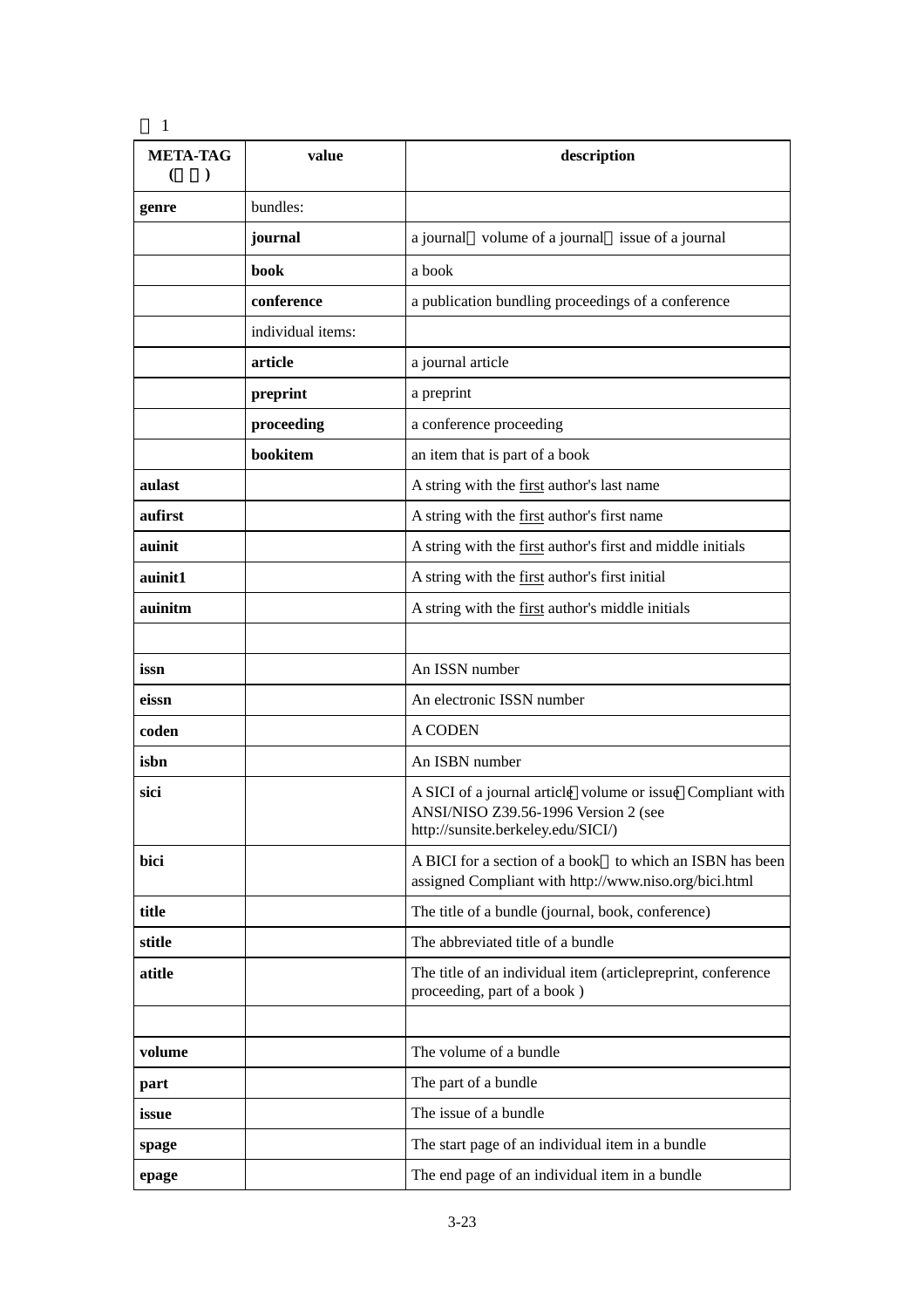| <b>META-TAG</b> | value             | description                                                                                                                              |  |
|-----------------|-------------------|------------------------------------------------------------------------------------------------------------------------------------------|--|
| genre           | bundles:          |                                                                                                                                          |  |
|                 | journal           | volume of a journal issue of a journal<br>a journal                                                                                      |  |
|                 | book              | a book                                                                                                                                   |  |
|                 | conference        | a publication bundling proceedings of a conference                                                                                       |  |
|                 | individual items: |                                                                                                                                          |  |
|                 | article           | a journal article                                                                                                                        |  |
|                 | preprint          | a preprint                                                                                                                               |  |
|                 | proceeding        | a conference proceeding                                                                                                                  |  |
|                 | bookitem          | an item that is part of a book                                                                                                           |  |
| aulast          |                   | A string with the first author's last name                                                                                               |  |
| aufirst         |                   | A string with the first author's first name                                                                                              |  |
| auinit          |                   | A string with the first author's first and middle initials                                                                               |  |
| auinit1         |                   | A string with the first author's first initial                                                                                           |  |
| auinitm         |                   | A string with the first author's middle initials                                                                                         |  |
|                 |                   |                                                                                                                                          |  |
| issn            |                   | An ISSN number                                                                                                                           |  |
| eissn           |                   | An electronic ISSN number                                                                                                                |  |
| coden           |                   | <b>A CODEN</b>                                                                                                                           |  |
| isbn            |                   | An ISBN number                                                                                                                           |  |
| sici            |                   | A SICI of a journal article volume or issue Compliant with<br>ANSI/NISO Z39.56-1996 Version 2 (see<br>http://sunsite.berkeley.edu/SICI/) |  |
| bici            |                   | A BICI for a section of a book to which an ISBN has been<br>assigned Compliant with http://www.niso.org/bici.html                        |  |
| title           |                   | The title of a bundle (journal, book, conference)                                                                                        |  |
| stitle          |                   | The abbreviated title of a bundle                                                                                                        |  |
| atitle          |                   | The title of an individual item (articlepreprint, conference<br>proceeding, part of a book)                                              |  |
|                 |                   |                                                                                                                                          |  |
| volume          |                   | The volume of a bundle                                                                                                                   |  |
| part            |                   | The part of a bundle                                                                                                                     |  |
| issue           |                   | The issue of a bundle                                                                                                                    |  |
| spage           |                   | The start page of an individual item in a bundle                                                                                         |  |
| epage           |                   | The end page of an individual item in a bundle                                                                                           |  |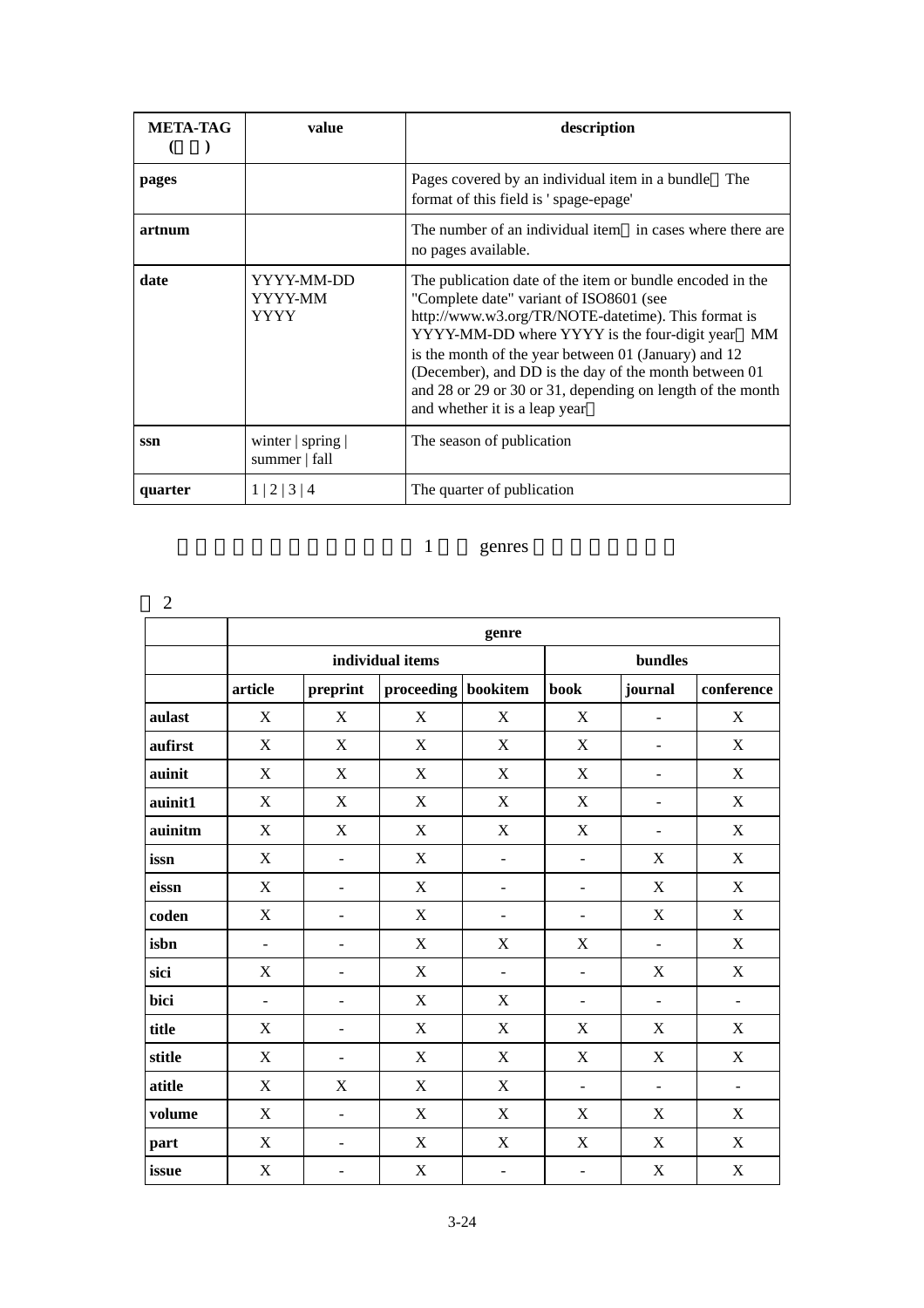| <b>META-TAG</b> | value                                          | description                                                                                                                                                                                                                                                                                                                                                                                                                        |
|-----------------|------------------------------------------------|------------------------------------------------------------------------------------------------------------------------------------------------------------------------------------------------------------------------------------------------------------------------------------------------------------------------------------------------------------------------------------------------------------------------------------|
| pages           |                                                | Pages covered by an individual item in a bundle<br>The<br>format of this field is 'spage-epage'                                                                                                                                                                                                                                                                                                                                    |
| artnum          |                                                | The number of an individual item in cases where there are<br>no pages available.                                                                                                                                                                                                                                                                                                                                                   |
| date            | YYYY-MM-DD<br>YYYY-MM<br>YYYY                  | The publication date of the item or bundle encoded in the<br>"Complete date" variant of ISO8601 (see<br>http://www.w3.org/TR/NOTE-datetime). This format is<br>YYYY-MM-DD where YYYY is the four-digit year<br>MM.<br>is the month of the year between 01 (January) and 12<br>(December), and DD is the day of the month between 01<br>and 28 or 29 or 30 or 31, depending on length of the month<br>and whether it is a leap year |
| ssn             | winter $\vert$ spring $\vert$<br>summer   fall | The season of publication                                                                                                                                                                                                                                                                                                                                                                                                          |
| quarter         | 1 2 <br>$\vert 3 \vert 4$                      | The quarter of publication                                                                                                                                                                                                                                                                                                                                                                                                         |

## 1 genres

| $\overline{2}$ |                           |                          |                           |                           |                           |                          |                           |  |  |
|----------------|---------------------------|--------------------------|---------------------------|---------------------------|---------------------------|--------------------------|---------------------------|--|--|
|                | genre                     |                          |                           |                           |                           |                          |                           |  |  |
|                |                           |                          | individual items          | bundles                   |                           |                          |                           |  |  |
|                | article                   | preprint                 | proceeding bookitem       |                           | book                      | journal                  | conference                |  |  |
| aulast         | $\mathbf X$               | $\mathbf X$              | $\mathbf X$               | $\mathbf X$               | $\mathbf X$               |                          | $\mathbf X$               |  |  |
| aufirst        | X                         | X                        | X                         | $\boldsymbol{\mathrm{X}}$ | $\boldsymbol{\mathrm{X}}$ | $\overline{\phantom{0}}$ | $\boldsymbol{\mathrm{X}}$ |  |  |
| auinit         | X                         | X                        | X                         | X                         | X                         | $\overline{\phantom{0}}$ | X                         |  |  |
| auinit1        | $\mathbf X$               | $\mathbf X$              | $\mathbf X$               | $\mathbf X$               | $\mathbf X$               | $\overline{\phantom{a}}$ | $\mathbf X$               |  |  |
| auinitm        | $\mathbf X$               | X                        | $\mathbf X$               | $\mathbf X$               | $\mathbf X$               | $\overline{\phantom{a}}$ | $\mathbf X$               |  |  |
| issn           | $\mathbf X$               | $\overline{\phantom{a}}$ | $\mathbf X$               | $\overline{\phantom{a}}$  |                           | $\boldsymbol{X}$         | $\mathbf X$               |  |  |
| eissn          | X                         | $\overline{\phantom{a}}$ | $\boldsymbol{\mathrm{X}}$ | $\overline{\phantom{a}}$  | $\overline{\phantom{a}}$  | X                        | $\mathbf X$               |  |  |
| coden          | $\mathbf X$               | $\blacksquare$           | $\mathbf X$               | $\overline{\phantom{a}}$  | $\overline{\phantom{0}}$  | X                        | $\mathbf X$               |  |  |
| isbn           | $\overline{a}$            | ÷                        | $\mathbf X$               | X                         | X                         | $\overline{a}$           | X                         |  |  |
| sici           | $\boldsymbol{\mathrm{X}}$ | $\overline{\phantom{a}}$ | $\boldsymbol{\mathrm{X}}$ | $\blacksquare$            | $\blacksquare$            | X                        | $\mathbf X$               |  |  |
| bici           | $\overline{\phantom{a}}$  |                          | $\mathbf X$               | X                         | $\overline{\phantom{0}}$  | $\overline{\phantom{m}}$ | $\overline{\phantom{a}}$  |  |  |
| title          | X                         | $\overline{\phantom{a}}$ | X                         | X                         | X                         | X                        | $\boldsymbol{\mathrm{X}}$ |  |  |
| stitle         | $\mathbf X$               | $\overline{\phantom{a}}$ | $\mathbf X$               | $\mathbf X$               | $\mathbf X$               | $\mathbf X$              | $\mathbf X$               |  |  |
| atitle         | X                         | X                        | X                         | X                         | $\overline{\phantom{a}}$  | $\overline{a}$           | $\overline{\phantom{a}}$  |  |  |
| volume         | X                         | $\overline{\phantom{a}}$ | $\boldsymbol{\mathrm{X}}$ | X                         | X                         | X                        | $\boldsymbol{\mathrm{X}}$ |  |  |
| part           | $\mathbf X$               | $\overline{\phantom{a}}$ | $\mathbf X$               | $\mathbf X$               | $\mathbf X$               | X                        | $\mathbf X$               |  |  |
| issue          | $\mathbf X$               | $\overline{\phantom{a}}$ | $\mathbf X$               | $\overline{\phantom{a}}$  | $\overline{\phantom{a}}$  | $\mathbf X$              | $\mathbf X$               |  |  |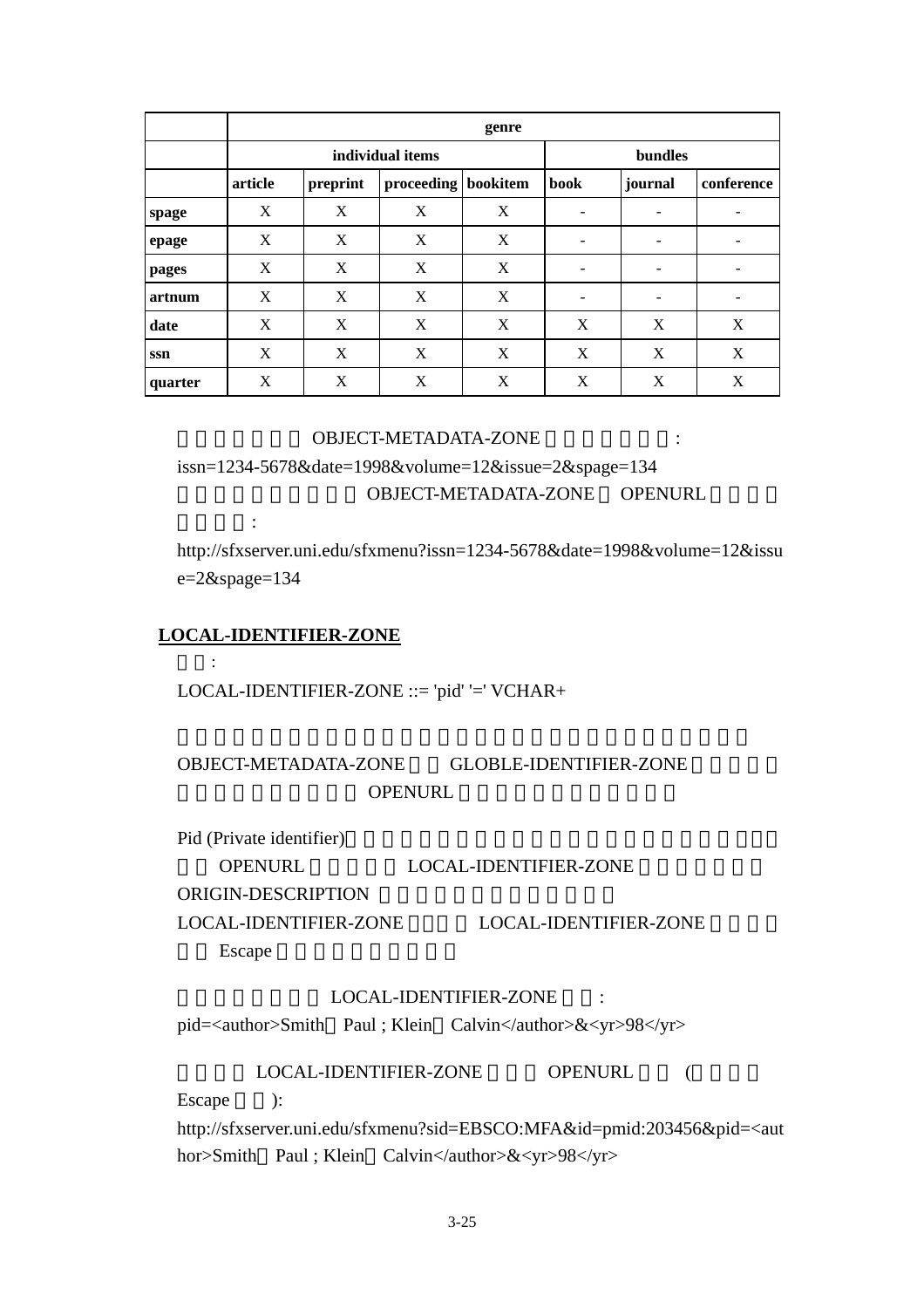|         | genre   |          |                     |         |                 |            |   |  |  |
|---------|---------|----------|---------------------|---------|-----------------|------------|---|--|--|
|         |         |          | individual items    | bundles |                 |            |   |  |  |
|         | article | preprint | proceeding bookitem | book    | journal         | conference |   |  |  |
| spage   | X       | X        | X                   | X       |                 | -          |   |  |  |
| epage   | X       | X        | X                   | X       | -               | -          |   |  |  |
| pages   | X       | X        | X                   | X       | -               | -          |   |  |  |
| artnum  | X       | X        | X                   | X       | $\qquad \qquad$ | -          | - |  |  |
| date    | X       | X        | X                   | X       | X               | X          | X |  |  |
| ssn     | X       | X        | X                   | X       | X               | X          | X |  |  |
| quarter | X       | X        | X                   | X       | X               | X          | X |  |  |

#### OBJECT-METADATA-ZONE  $\cdot$

issn=1234-5678&date=1998&volume=12&issue=2&spage=134 OBJECT-METADATA-ZONE OPENURL

http://sfxserver.uni.edu/sfxmenu?issn=1234-5678&date=1998&volume=12&issu e=2&spage=134

#### **LOCAL-IDENTIFIER-ZONE**

以下所示:

語法:

LOCAL-IDENTIFIER-ZONE ::= 'pid' '=' VCHAR+

## OBJECT-METADATA-ZONE GLOBLE-IDENTIFIER-ZONE OPENURL

Pid (Private identifier)

OPENURL LOCAL-IDENTIFIER-ZONE ORIGIN-DESCRIPTION LOCAL-IDENTIFIER-ZONE LOCAL-IDENTIFIER-ZONE

**Escape** 

## LOCAL-IDENTIFIER-ZONE :

pid=<author>Smith Paul ; Klein Calvin</author>&<yr>98</yr>

 $\begin{minipage}{0.9\linewidth} \textbf{LOCAL-IDENTIFYER-ZONE} \end{minipage} \begin{minipage}{0.9\linewidth} \textbf{OPENURL} \end{minipage} \begin{minipage}{0.9\linewidth} \begin{minipage}{0.9\linewidth} \begin{minipage}{0.9\linewidth} \begin{minipage}{0.9\linewidth} \begin{minipage}{0.9\linewidth} \end{minipage} \end{minipage} \begin{minipage}{0.9\linewidth} \begin{minipage}{0.9\linewidth} \begin{minipage}{0.9\linewidth} \end{minipage} \end{minipage} \begin{minipage}{0.9\linewidth} \begin{minipage}{0.9\linewidth} \begin$ Escape  $\qquad$ : http://sfxserver.uni.edu/sfxmenu?sid=EBSCO:MFA&id=pmid:203456&pid=<aut

hor>Smith Paul ; Klein Calvin</author>&<yr>98</yr>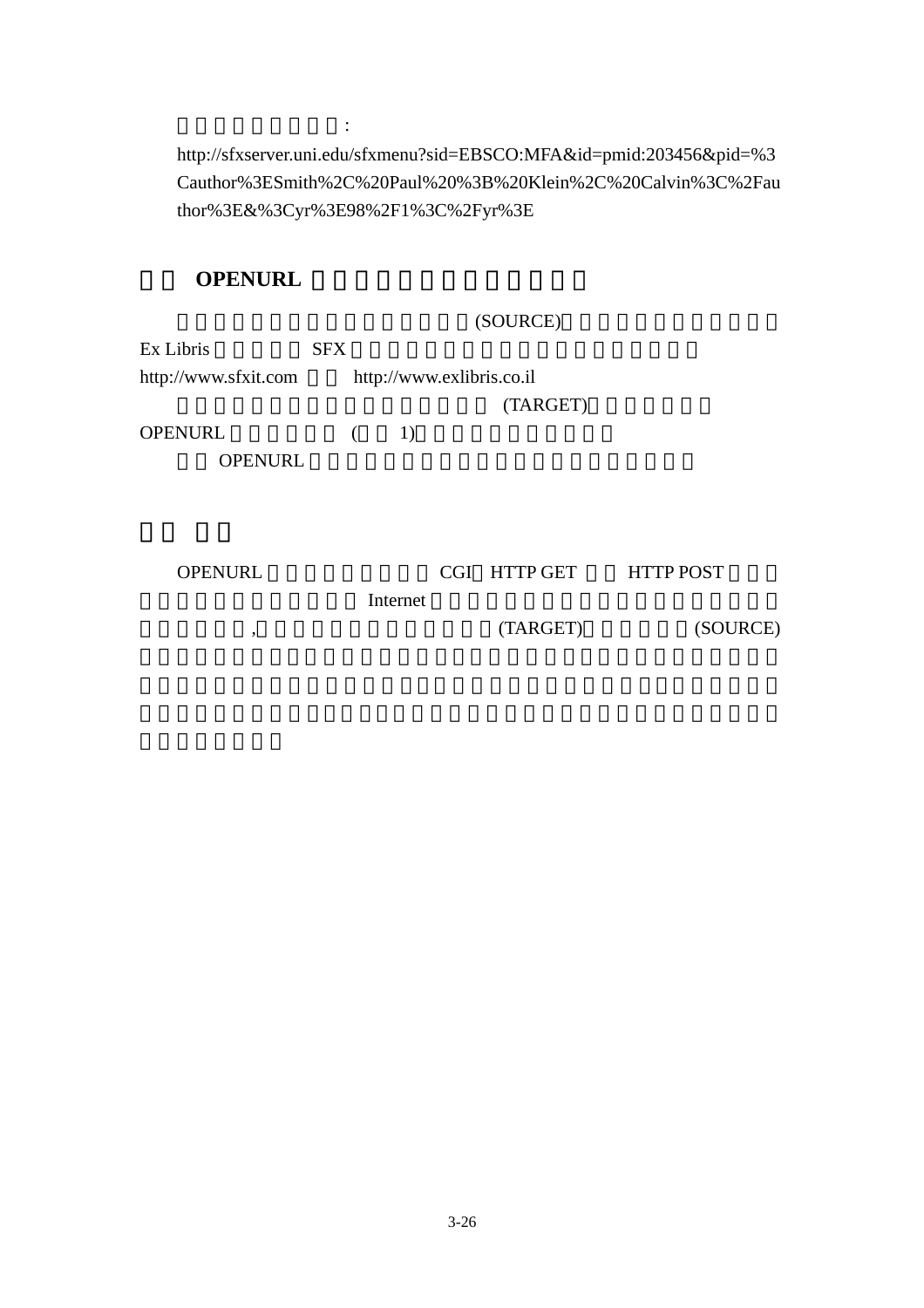http://sfxserver.uni.edu/sfxmenu?sid=EBSCO:MFA&id=pmid:203456&pid=%3 Cauthor%3ESmith%2C%20Paul%20%3B%20Klein%2C%20Calvin%3C%2Fau thor%3E&%3Cyr%3E98%2F1%3C%2Fyr%3E

## **OPENURL**

而加密後的陳述如下:

|                      |            |    |                           | (SOURCE) |  |  |
|----------------------|------------|----|---------------------------|----------|--|--|
| Ex Libris            | <b>SFX</b> |    |                           |          |  |  |
| http://www.sfxit.com |            |    | http://www.exlibris.co.il |          |  |  |
|                      |            |    |                           | (TARGET) |  |  |
| <b>OPENURL</b>       |            | 1) |                           |          |  |  |
| <b>OPENURL</b>       |            |    |                           |          |  |  |
|                      |            |    |                           |          |  |  |
|                      |            |    |                           |          |  |  |
|                      |            |    |                           |          |  |  |

| <b>OPENURL</b> |          | CGI HTTP GET | <b>HTTP POST</b> |  |
|----------------|----------|--------------|------------------|--|
|                | Internet |              |                  |  |
|                |          | (TARGET)     | (SOURCE)         |  |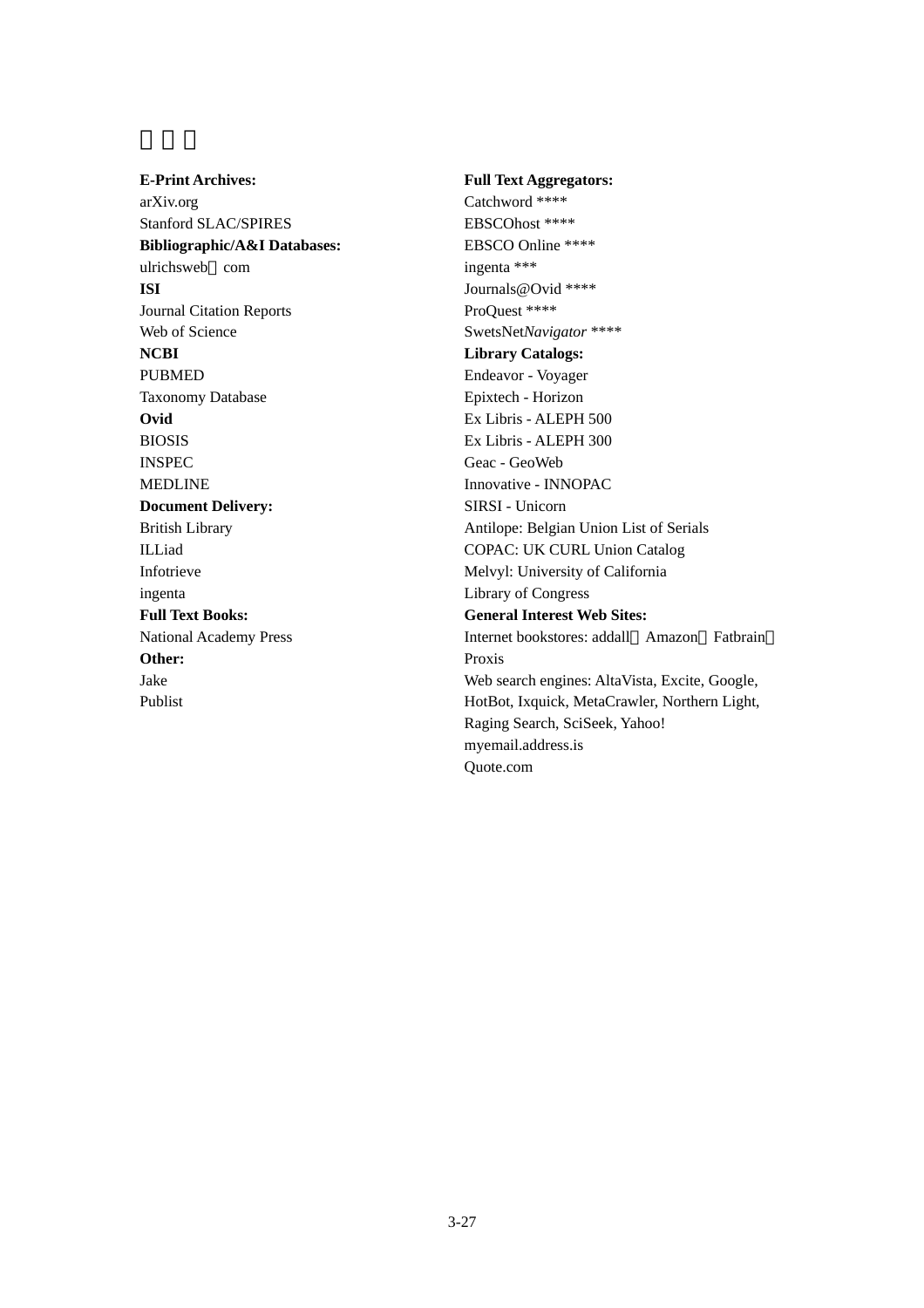**E-Print Archives:** arXiv.org Stanford SLAC/SPIRES **Bibliographic/A&I Databases:** ulrichsweb com **ISI** Journal Citation Reports Web of Science **NCBI** PUBMED Taxonomy Database **Ovid** BIOSIS INSPEC MEDLINE **Document Delivery:** British Library ILLiad Infotrieve ingenta **Full Text Books:** National Academy Press **Other:** Jake Publist

**Full Text Aggregators:** Catchword \*\*\*\* EBSCOhost \*\*\*\* EBSCO Online \*\*\*\* ingenta \*\*\* Journals@Ovid \*\*\*\* ProQuest \*\*\*\* SwetsNet*Navigator* \*\*\*\* **Library Catalogs:** Endeavor - Voyager Epixtech - Horizon Ex Libris - ALEPH 500 Ex Libris - ALEPH 300 Geac - GeoWeb Innovative - INNOPAC SIRSI - Unicorn Antilope: Belgian Union List of Serials COPAC: UK CURL Union Catalog Melvyl: University of California Library of Congress **General Interest Web Sites:** Internet bookstores: addall Amazon Fatbrain Proxis Web search engines: AltaVista, Excite, Google, HotBot, Ixquick, MetaCrawler, Northern Light, Raging Search, SciSeek, Yahoo! myemail.address.is Quote.com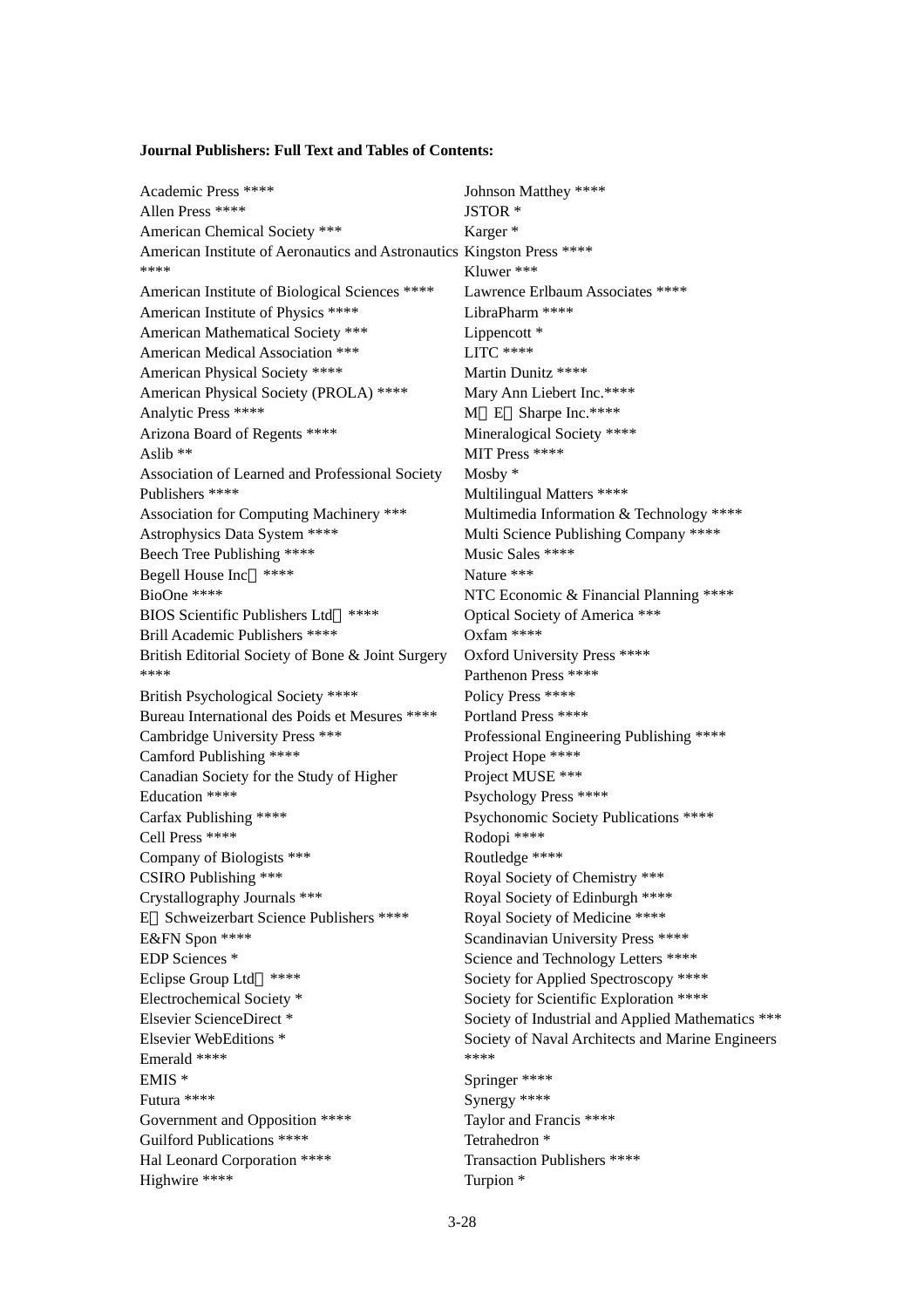#### **Journal Publishers: Full Text and Tables of Contents:**

| Academic Press ****                                                    | Johnson Matthey ****                              |
|------------------------------------------------------------------------|---------------------------------------------------|
| Allen Press ****                                                       | JSTOR <sup>*</sup>                                |
| American Chemical Society ***                                          | Karger <sup>*</sup>                               |
| American Institute of Aeronautics and Astronautics Kingston Press **** |                                                   |
| ****                                                                   | Kluwer ***                                        |
| American Institute of Biological Sciences ****                         | Lawrence Erlbaum Associates ****                  |
| American Institute of Physics ****                                     | LibraPharm ****                                   |
| American Mathematical Society ***                                      | Lippencott <sup>*</sup>                           |
| American Medical Association ***                                       | $LITC$ ****                                       |
| American Physical Society ****                                         | Martin Dunitz ****                                |
| American Physical Society (PROLA) ****                                 | Mary Ann Liebert Inc.****                         |
| Analytic Press ****                                                    | M E Sharpe Inc.****                               |
| Arizona Board of Regents ****                                          | Mineralogical Society ****                        |
| Aslib $**$                                                             | MIT Press ****                                    |
| Association of Learned and Professional Society                        | Mosby $*$                                         |
| Publishers ****                                                        | Multilingual Matters ****                         |
| Association for Computing Machinery ***                                | Multimedia Information & Technology ****          |
| Astrophysics Data System ****                                          | Multi Science Publishing Company ****             |
| Beech Tree Publishing ****                                             | Music Sales ****                                  |
| ****<br>Begell House Inc                                               | Nature ***                                        |
| BioOne ****                                                            | NTC Economic & Financial Planning ****            |
| <b>BIOS Scientific Publishers Ltd</b><br>****                          | Optical Society of America ***                    |
| Brill Academic Publishers ****                                         | Oxfam ****                                        |
| British Editorial Society of Bone & Joint Surgery                      | <b>Oxford University Press ****</b>               |
| ****                                                                   | Parthenon Press ****                              |
| British Psychological Society ****                                     | Policy Press ****                                 |
| Bureau International des Poids et Mesures ****                         | Portland Press ****                               |
| Cambridge University Press ***                                         | Professional Engineering Publishing ****          |
| Camford Publishing ****                                                | Project Hope ****                                 |
| Canadian Society for the Study of Higher                               | Project MUSE ***                                  |
| Education ****                                                         | Psychology Press ****                             |
| Carfax Publishing ****                                                 | Psychonomic Society Publications ****             |
| Cell Press ****                                                        | Rodopi ****                                       |
| Company of Biologists ***                                              | Routledge ****                                    |
| CSIRO Publishing ***                                                   | Royal Society of Chemistry ***                    |
| Crystallography Journals ***                                           | Royal Society of Edinburgh ****                   |
| Schweizerbart Science Publishers ****<br>Е                             | Royal Society of Medicine ****                    |
| E&FN Spon ****                                                         | Scandinavian University Press ****                |
| EDP Sciences *                                                         | Science and Technology Letters ****               |
| Eclipse Group Ltd<br>****                                              | Society for Applied Spectroscopy ****             |
| Electrochemical Society *                                              | Society for Scientific Exploration ****           |
| Elsevier ScienceDirect*                                                | Society of Industrial and Applied Mathematics *** |
| Elsevier WebEditions <sup>*</sup>                                      | Society of Naval Architects and Marine Engineers  |
| Emerald ****                                                           | ****                                              |
| $EMIS *$                                                               | Springer ****                                     |
| Futura ****                                                            | Synergy ****                                      |
| Government and Opposition ****                                         | Taylor and Francis ****                           |
| Guilford Publications ****                                             | Tetrahedron <sup>*</sup>                          |
| Hal Leonard Corporation ****                                           | Transaction Publishers ****                       |
| Highwire ****                                                          | Turpion <sup>*</sup>                              |
|                                                                        |                                                   |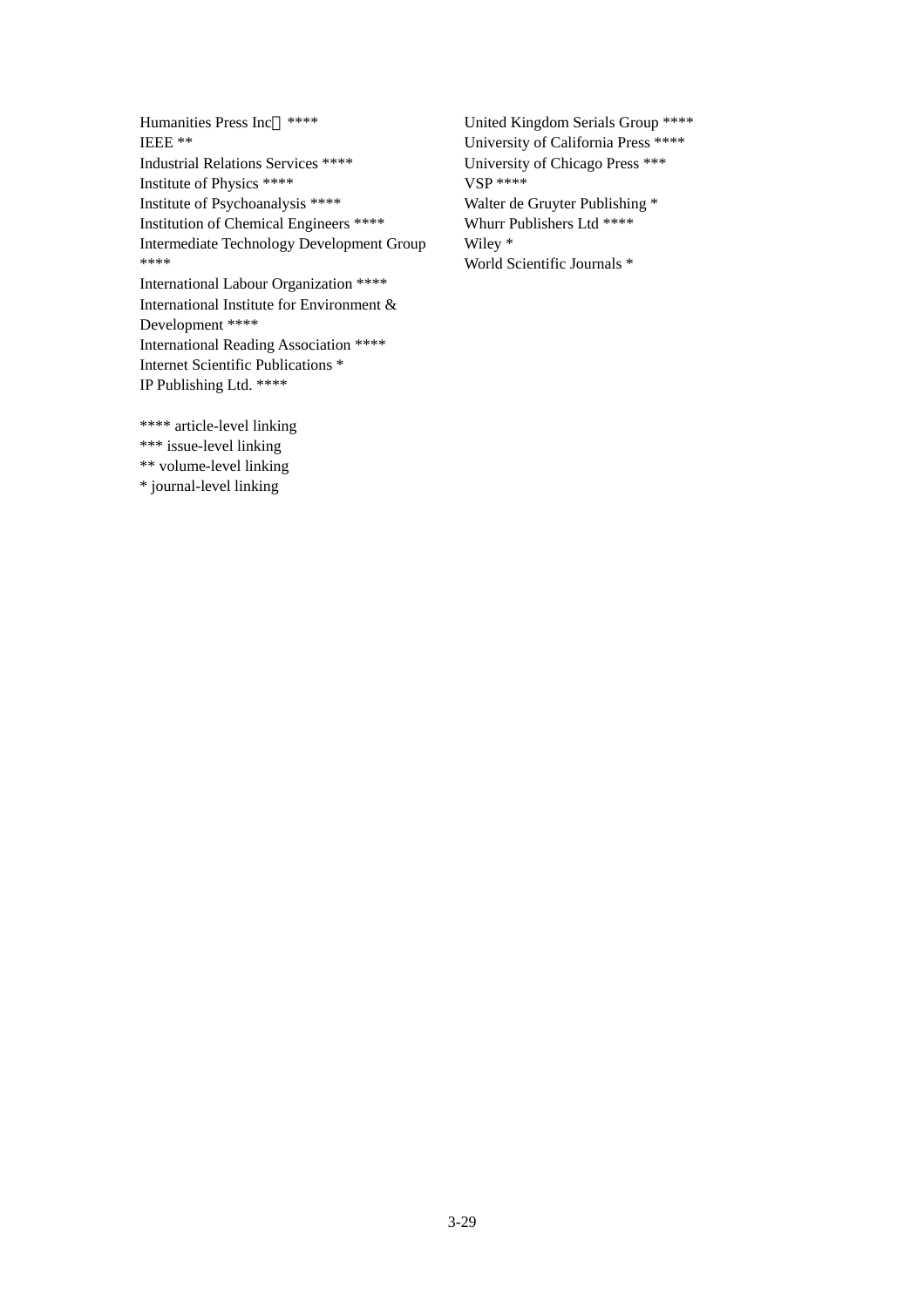Humanities Press Inc \*\*\*\* IEEE \*\* Industrial Relations Services \*\*\*\* Institute of Physics \*\*\*\* Institute of Psychoanalysis \*\*\*\* Institution of Chemical Engineers \*\*\*\* Intermediate Technology Development Group \*\*\*\* International Labour Organization \*\*\*\*

International Institute for Environment & Development \*\*\*\* International Reading Association \*\*\*\* Internet Scientific Publications \* IP Publishing Ltd. \*\*\*\*

\*\*\*\* article-level linking \*\*\* issue-level linking \*\* volume-level linking \* journal-level linking

United Kingdom Serials Group \*\*\*\* University of California Press \*\*\*\* University of Chicago Press \*\*\* VSP \*\*\*\* Walter de Gruyter Publishing \* Whurr Publishers Ltd \*\*\*\* Wiley \* World Scientific Journals \*